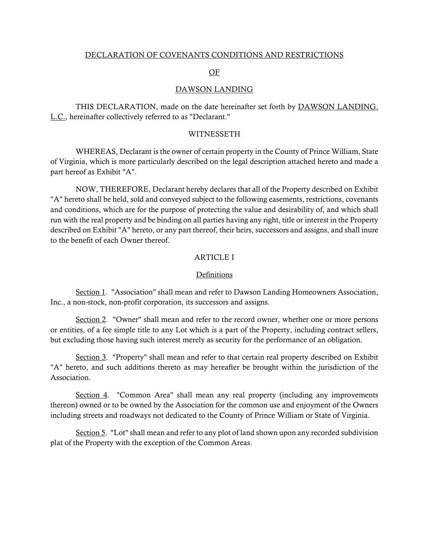#### DECLARATION OF COVENANTS CONDITIONS AND RESTRICTIONS

#### OF

#### DAWSON LANDING

THIS DECLARATION, made on the date hereinafter set forth by **DAWSON LANDING**. L.C., hereinafter collectively referred to as "Declarant."

#### WITNESSETH

WHEREAS, Declarant is the owner of certain property in the County of Prince William, State of Virginia, which is more particularly described on the legal description attached hereto and made a part hereof as Exhibit "A".

NOW, THEREFORE, Declarant hereby declares that all of the Property described on Exhibit "A" hereto shall be held, sold and conveyed subject to the following easements, restrictions, covenants and conditions, which are for the purpose of protecting the value and desirability of, and which shall run with the real property and be binding on all parties having any right, title or interest in the Property described on Exhibit "A" hereto, or any part thereof, their heirs, successors and assigns, and shall inure to the benefit of each Owner thereof.

#### ARTICLE I

#### Definitions

Section 1. "Association" shall mean and refer to Dawson Landing Homeowners Association, Inc., a non-stock, non-profit corporation, its successors and assigns.

Section 2. "Owner" shall mean and refer to the record owner, whether one or more persons or entities, of a fee simple title to any Lot which is a part of the Property, including contract sellers, but excluding those having such interest merely as security for the performance of an obligation.

Section 3. "Property" shall mean and refer to that certain real property described on Exhibit "A" hereto, and such additions thereto as may hereafter be brought within the jurisdiction of the Association.

Section 4. "Common Area" shall mean any real property (including any improvements thereon) owned or to be owned by the Association for the common use and enjoyment of the Owners including streets and roadways not dedicated to the County of Prince William or State of Virginia.

Section 5. "Lot" shall mean and refer to any plot of land shown upon any recorded subdivision plat of the Property with the exception of the Common Areas.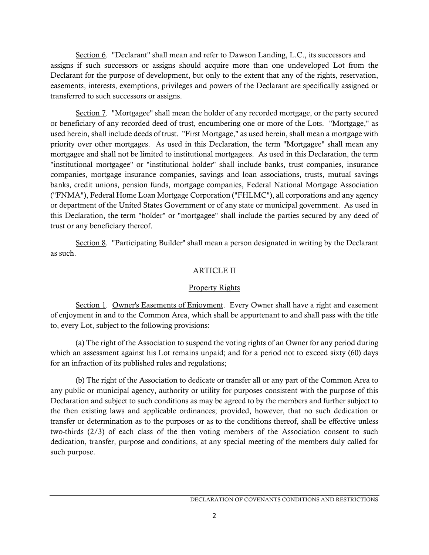Section 6. "Declarant" shall mean and refer to Dawson Landing, L.C., its successors and assigns if such successors or assigns should acquire more than one undeveloped Lot from the Declarant for the purpose of development, but only to the extent that any of the rights, reservation, easements, interests, exemptions, privileges and powers of the Declarant are specifically assigned or transferred to such successors or assigns.

Section 7. "Mortgagee" shall mean the holder of any recorded mortgage, or the party secured or beneficiary of any recorded deed of trust, encumbering one or more of the Lots. "Mortgage," as used herein, shall include deeds of trust. "First Mortgage," as used herein, shall mean a mortgage with priority over other mortgages. As used in this Declaration, the term "Mortgagee" shall mean any mortgagee and shall not be limited to institutional mortgagees. As used in this Declaration, the term "institutional mortgagee" or "institutional holder" shall include banks, trust companies, insurance companies, mortgage insurance companies, savings and loan associations, trusts, mutual savings banks, credit unions, pension funds, mortgage companies, Federal National Mortgage Association ("FNMA"), Federal Home Loan Mortgage Corporation ("FHLMC"), all corporations and any agency or department of the United States Government or of any state or municipal government. As used in this Declaration, the term "holder" or "mortgagee" shall include the parties secured by any deed of trust or any beneficiary thereof.

Section 8. "Participating Builder" shall mean a person designated in writing by the Declarant as such.

## ARTICLE II

## Property Rights

Section 1. Owner's Easements of Enjoyment. Every Owner shall have a right and easement of enjoyment in and to the Common Area, which shall be appurtenant to and shall pass with the title to, every Lot, subject to the following provisions:

(a) The right of the Association to suspend the voting rights of an Owner for any period during which an assessment against his Lot remains unpaid; and for a period not to exceed sixty (60) days for an infraction of its published rules and regulations;

(b) The right of the Association to dedicate or transfer all or any part of the Common Area to any public or municipal agency, authority or utility for purposes consistent with the purpose of this Declaration and subject to such conditions as may be agreed to by the members and further subject to the then existing laws and applicable ordinances; provided, however, that no such dedication or transfer or determination as to the purposes or as to the conditions thereof, shall be effective unless two-thirds (2/3) of each class of the then voting members of the Association consent to such dedication, transfer, purpose and conditions, at any special meeting of the members duly called for such purpose.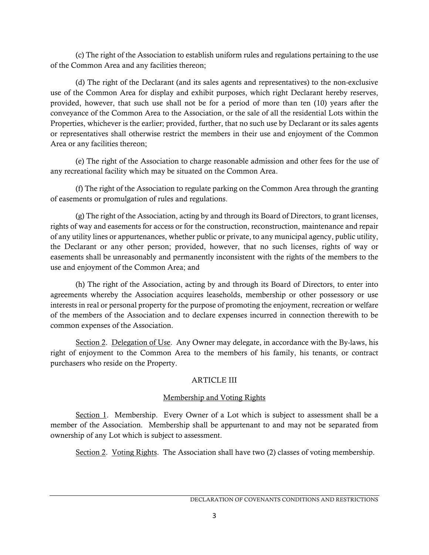(c) The right of the Association to establish uniform rules and regulations pertaining to the use of the Common Area and any facilities thereon;

(d) The right of the Declarant (and its sales agents and representatives) to the non-exclusive use of the Common Area for display and exhibit purposes, which right Declarant hereby reserves, provided, however, that such use shall not be for a period of more than ten (10) years after the conveyance of the Common Area to the Association, or the sale of all the residential Lots within the Properties, whichever is the earlier; provided, further, that no such use by Declarant or its sales agents or representatives shall otherwise restrict the members in their use and enjoyment of the Common Area or any facilities thereon;

(e) The right of the Association to charge reasonable admission and other fees for the use of any recreational facility which may be situated on the Common Area.

(f) The right of the Association to regulate parking on the Common Area through the granting of easements or promulgation of rules and regulations.

(g) The right of the Association, acting by and through its Board of Directors, to grant licenses, rights of way and easements for access or for the construction, reconstruction, maintenance and repair of any utility lines or appurtenances, whether public or private, to any municipal agency, public utility, the Declarant or any other person; provided, however, that no such licenses, rights of way or easements shall be unreasonably and permanently inconsistent with the rights of the members to the use and enjoyment of the Common Area; and

(h) The right of the Association, acting by and through its Board of Directors, to enter into agreements whereby the Association acquires leaseholds, membership or other possessory or use interests in real or personal property for the purpose of promoting the enjoyment, recreation or welfare of the members of the Association and to declare expenses incurred in connection therewith to be common expenses of the Association.

Section 2. Delegation of Use. Any Owner may delegate, in accordance with the By-laws, his right of enjoyment to the Common Area to the members of his family, his tenants, or contract purchasers who reside on the Property.

# ARTICLE III

# Membership and Voting Rights

Section 1. Membership. Every Owner of a Lot which is subject to assessment shall be a member of the Association. Membership shall be appurtenant to and may not be separated from ownership of any Lot which is subject to assessment.

Section 2. Voting Rights. The Association shall have two (2) classes of voting membership.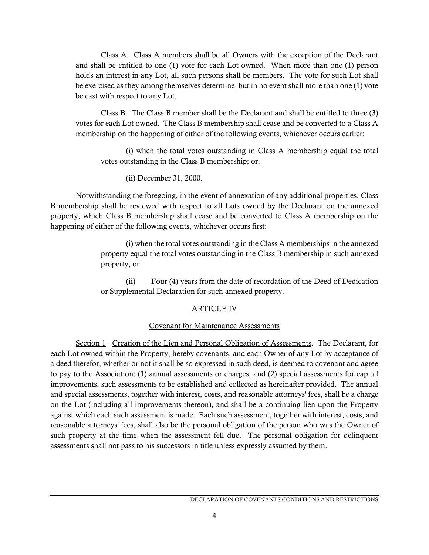Class A. Class A members shall be all Owners with the exception of the Declarant and shall be entitled to one (1) vote for each Lot owned. When more than one (1) person holds an interest in any Lot, all such persons shall be members. The vote for such Lot shall be exercised as they among themselves determine, but in no event shall more than one (1) vote be cast with respect to any Lot.

Class B. The Class B member shall be the Declarant and shall be entitled to three (3) votes for each Lot owned. The Class B membership shall cease and be converted to a Class A membership on the happening of either of the following events, whichever occurs earlier:

(i) when the total votes outstanding in Class A membership equal the total votes outstanding in the Class B membership; or.

(ii) December 31, 2000.

 Notwithstanding the foregoing, in the event of annexation of any additional properties, Class B membership shall be reviewed with respect to all Lots owned by the Declarant on the annexed property, which Class B membership shall cease and be converted to Class A membership on the happening of either of the following events, whichever occurs first:

> (i) when the total votes outstanding in the Class A memberships in the annexed property equal the total votes outstanding in the Class B membership in such annexed property, or

> (ii) Four (4) years from the date of recordation of the Deed of Dedication or Supplemental Declaration for such annexed property.

# ARTICLE IV

# Covenant for Maintenance Assessments

Section 1. Creation of the Lien and Personal Obligation of Assessments. The Declarant, for each Lot owned within the Property, hereby covenants, and each Owner of any Lot by acceptance of a deed therefor, whether or not it shall be so expressed in such deed, is deemed to covenant and agree to pay to the Association: (1) annual assessments or charges, and (2) special assessments for capital improvements, such assessments to be established and collected as hereinafter provided. The annual and special assessments, together with interest, costs, and reasonable attorneys' fees, shall be a charge on the Lot (including all improvements thereon), and shall be a continuing lien upon the Property against which each such assessment is made. Each such assessment, together with interest, costs, and reasonable attorneys' fees, shall also be the personal obligation of the person who was the Owner of such property at the time when the assessment fell due. The personal obligation for delinquent assessments shall not pass to his successors in title unless expressly assumed by them.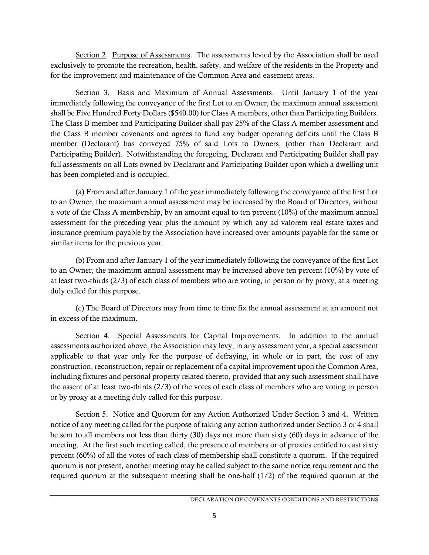Section 2. Purpose of Assessments. The assessments levied by the Association shall be used exclusively to promote the recreation, health, safety, and welfare of the residents in the Property and for the improvement and maintenance of the Common Area and easement areas.

Section 3. Basis and Maximum of Annual Assessments. Until January 1 of the year immediately following the conveyance of the first Lot to an Owner, the maximum annual assessment shall be Five Hundred Forty Dollars (\$540.00) for Class A members, other than Participating Builders. The Class B member and Participating Builder shall pay 25% of the Class A member assessment and the Class B member covenants and agrees to fund any budget operating deficits until the Class B member (Declarant) has conveyed 75% of said Lots to Owners, (other than Declarant and Participating Builder). Notwithstanding the foregoing, Declarant and Participating Builder shall pay full assessments on all Lots owned by Declarant and Participating Builder upon which a dwelling unit has been completed and is occupied.

(a) From and after January 1 of the year immediately following the conveyance of the first Lot to an Owner, the maximum annual assessment may be increased by the Board of Directors, without a vote of the Class A membership, by an amount equal to ten percent (10%) of the maximum annual assessment for the preceding year plus the amount by which any ad valorem real estate taxes and insurance premium payable by the Association have increased over amounts payable for the same or similar items for the previous year.

(b) From and after January 1 of the year immediately following the conveyance of the first Lot to an Owner, the maximum annual assessment may be increased above ten percent (10%) by vote of at least two-thirds (2/3) of each class of members who are voting, in person or by proxy, at a meeting duly called for this purpose.

(c) The Board of Directors may from time to time fix the annual assessment at an amount not in excess of the maximum.

Section 4. Special Assessments for Capital Improvements. In addition to the annual assessments authorized above, the Association may levy, in any assessment year, a special assessment applicable to that year only for the purpose of defraying, in whole or in part, the cost of any construction, reconstruction, repair or replacement of a capital improvement upon the Common Area, including fixtures and personal property related thereto, provided that any such assessment shall have the assent of at least two-thirds (2/3) of the votes of each class of members who are voting in person or by proxy at a meeting duly called for this purpose.

Section 5. Notice and Quorum for any Action Authorized Under Section 3 and 4. Written notice of any meeting called for the purpose of taking any action authorized under Section 3 or 4 shall be sent to all members not less than thirty (30) days not more than sixty (60) days in advance of the meeting. At the first such meeting called, the presence of members or of proxies entitled to cast sixty percent (60%) of all the votes of each class of membership shall constitute a quorum. If the required quorum is not present, another meeting may be called subject to the same notice requirement and the required quorum at the subsequent meeting shall be one-half (1/2) of the required quorum at the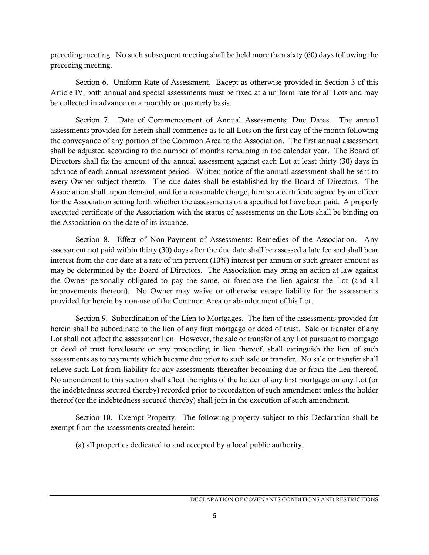preceding meeting. No such subsequent meeting shall be held more than sixty (60) days following the preceding meeting.

Section 6. Uniform Rate of Assessment. Except as otherwise provided in Section 3 of this Article IV, both annual and special assessments must be fixed at a uniform rate for all Lots and may be collected in advance on a monthly or quarterly basis.

Section 7. Date of Commencement of Annual Assessments: Due Dates. The annual assessments provided for herein shall commence as to all Lots on the first day of the month following the conveyance of any portion of the Common Area to the Association. The first annual assessment shall be adjusted according to the number of months remaining in the calendar year. The Board of Directors shall fix the amount of the annual assessment against each Lot at least thirty (30) days in advance of each annual assessment period. Written notice of the annual assessment shall be sent to every Owner subject thereto. The due dates shall be established by the Board of Directors. The Association shall, upon demand, and for a reasonable charge, furnish a certificate signed by an officer for the Association setting forth whether the assessments on a specified lot have been paid. A properly executed certificate of the Association with the status of assessments on the Lots shall be binding on the Association on the date of its issuance.

Section 8. Effect of Non-Payment of Assessments: Remedies of the Association. Any assessment not paid within thirty (30) days after the due date shall be assessed a late fee and shall bear interest from the due date at a rate of ten percent (10%) interest per annum or such greater amount as may be determined by the Board of Directors. The Association may bring an action at law against the Owner personally obligated to pay the same, or foreclose the lien against the Lot (and all improvements thereon). No Owner may waive or otherwise escape liability for the assessments provided for herein by non-use of the Common Area or abandonment of his Lot.

Section 9. Subordination of the Lien to Mortgages. The lien of the assessments provided for herein shall be subordinate to the lien of any first mortgage or deed of trust. Sale or transfer of any Lot shall not affect the assessment lien. However, the sale or transfer of any Lot pursuant to mortgage or deed of trust foreclosure or any proceeding in lieu thereof, shall extinguish the lien of such assessments as to payments which became due prior to such sale or transfer. No sale or transfer shall relieve such Lot from liability for any assessments thereafter becoming due or from the lien thereof. No amendment to this section shall affect the rights of the holder of any first mortgage on any Lot (or the indebtedness secured thereby) recorded prior to recordation of such amendment unless the holder thereof (or the indebtedness secured thereby) shall join in the execution of such amendment.

Section 10. Exempt Property. The following property subject to this Declaration shall be exempt from the assessments created herein:

(a) all properties dedicated to and accepted by a local public authority;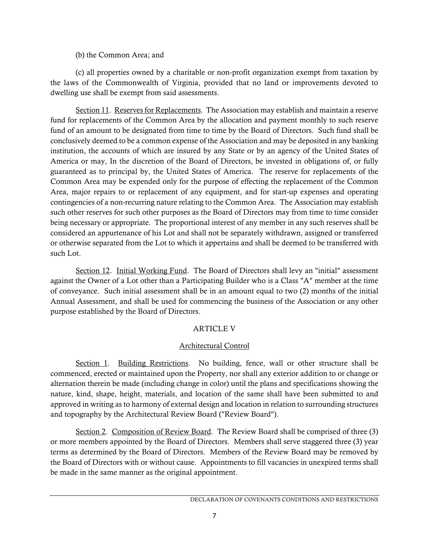### (b) the Common Area; and

(c) all properties owned by a charitable or non-profit organization exempt from taxation by the laws of the Commonwealth of Virginia, provided that no land or improvements devoted to dwelling use shall be exempt from said assessments.

Section 11. Reserves for Replacements. The Association may establish and maintain a reserve fund for replacements of the Common Area by the allocation and payment monthly to such reserve fund of an amount to be designated from time to time by the Board of Directors. Such fund shall be conclusively deemed to be a common expense of the Association and may be deposited in any banking institution, the accounts of which are insured by any State or by an agency of the United States of America or may, In the discretion of the Board of Directors, be invested in obligations of, or fully guaranteed as to principal by, the United States of America. The reserve for replacements of the Common Area may be expended only for the purpose of effecting the replacement of the Common Area, major repairs to or replacement of any equipment, and for start-up expenses and operating contingencies of a non-recurring nature relating to the Common Area. The Association may establish such other reserves for such other purposes as the Board of Directors may from time to time consider being necessary or appropriate. The proportional interest of any member in any such reserves shall be considered an appurtenance of his Lot and shall not be separately withdrawn, assigned or transferred or otherwise separated from the Lot to which it appertains and shall be deemed to be transferred with such Lot.

Section 12. Initial Working Fund. The Board of Directors shall levy an "initial" assessment against the Owner of a Lot other than a Participating Builder who is a Class "A" member at the time of conveyance. Such initial assessment shall be in an amount equal to two (2) months of the initial Annual Assessment, and shall be used for commencing the business of the Association or any other purpose established by the Board of Directors.

# ARTICLE V

# Architectural Control

Section 1. Building Restrictions. No building, fence, wall or other structure shall be commenced, erected or maintained upon the Property, nor shall any exterior addition to or change or alternation therein be made (including change in color) until the plans and specifications showing the nature, kind, shape, height, materials, and location of the same shall have been submitted to and approved in writing as to harmony of external design and location in relation to surrounding structures and topography by the Architectural Review Board ("Review Board").

Section 2. Composition of Review Board. The Review Board shall be comprised of three (3) or more members appointed by the Board of Directors. Members shall serve staggered three (3) year terms as determined by the Board of Directors. Members of the Review Board may be removed by the Board of Directors with or without cause. Appointments to fill vacancies in unexpired terms shall be made in the same manner as the original appointment.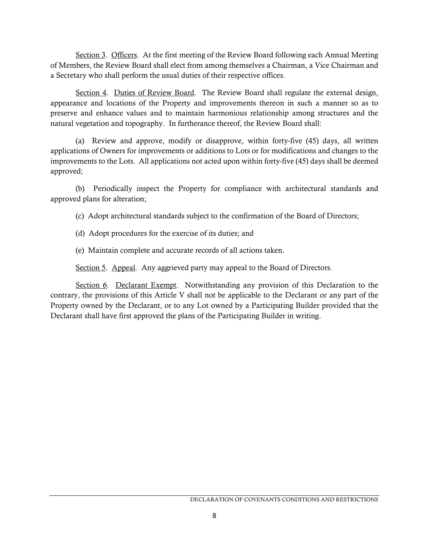Section 3. Officers. At the first meeting of the Review Board following each Annual Meeting of Members, the Review Board shall elect from among themselves a Chairman, a Vice Chairman and a Secretary who shall perform the usual duties of their respective offices.

Section 4. Duties of Review Board. The Review Board shall regulate the external design, appearance and locations of the Property and improvements thereon in such a manner so as to preserve and enhance values and to maintain harmonious relationship among structures and the natural vegetation and topography. In furtherance thereof, the Review Board shall:

(a) Review and approve, modify or disapprove, within forty-five (45) days, all written applications of Owners for improvements or additions to Lots or for modifications and changes to the improvements to the Lots. All applications not acted upon within forty-five (45) days shall be deemed approved;

(b) Periodically inspect the Property for compliance with architectural standards and approved plans for alteration;

(c) Adopt architectural standards subject to the confirmation of the Board of Directors;

(d) Adopt procedures for the exercise of its duties; and

(e) Maintain complete and accurate records of all actions taken.

Section 5. Appeal. Any aggrieved party may appeal to the Board of Directors.

Section 6. Declarant Exempt. Notwithstanding any provision of this Declaration to the contrary, the provisions of this Article V shall not be applicable to the Declarant or any part of the Property owned by the Declarant, or to any Lot owned by a Participating Builder provided that the Declarant shall have first approved the plans of the Participating Builder in writing.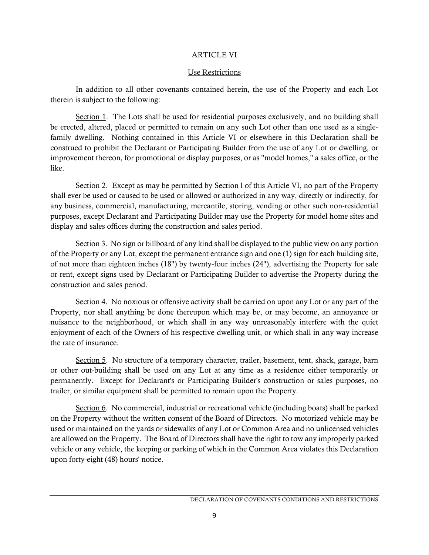### ARTICLE VI

#### Use Restrictions

In addition to all other covenants contained herein, the use of the Property and each Lot therein is subject to the following:

Section 1. The Lots shall be used for residential purposes exclusively, and no building shall be erected, altered, placed or permitted to remain on any such Lot other than one used as a singlefamily dwelling. Nothing contained in this Article VI or elsewhere in this Declaration shall be construed to prohibit the Declarant or Participating Builder from the use of any Lot or dwelling, or improvement thereon, for promotional or display purposes, or as "model homes," a sales office, or the like.

Section 2. Except as may be permitted by Section l of this Article VI, no part of the Property shall ever be used or caused to be used or allowed or authorized in any way, directly or indirectly, for any business, commercial, manufacturing, mercantile, storing, vending or other such non-residential purposes, except Declarant and Participating Builder may use the Property for model home sites and display and sales offices during the construction and sales period.

Section 3. No sign or billboard of any kind shall be displayed to the public view on any portion of the Property or any Lot, except the permanent entrance sign and one (1) sign for each building site, of not more than eighteen inches (18") by twenty-four inches (24"), advertising the Property for sale or rent, except signs used by Declarant or Participating Builder to advertise the Property during the construction and sales period.

Section 4. No noxious or offensive activity shall be carried on upon any Lot or any part of the Property, nor shall anything be done thereupon which may be, or may become, an annoyance or nuisance to the neighborhood, or which shall in any way unreasonably interfere with the quiet enjoyment of each of the Owners of his respective dwelling unit, or which shall in any way increase the rate of insurance.

Section 5. No structure of a temporary character, trailer, basement, tent, shack, garage, barn or other out-building shall be used on any Lot at any time as a residence either temporarily or permanently. Except for Declarant's or Participating Builder's construction or sales purposes, no trailer, or similar equipment shall be permitted to remain upon the Property.

Section 6. No commercial, industrial or recreational vehicle (including boats) shall be parked on the Property without the written consent of the Board of Directors. No motorized vehicle may be used or maintained on the yards or sidewalks of any Lot or Common Area and no unlicensed vehicles are allowed on the Property. The Board of Directors shall have the right to tow any improperly parked vehicle or any vehicle, the keeping or parking of which in the Common Area violates this Declaration upon forty-eight (48) hours' notice.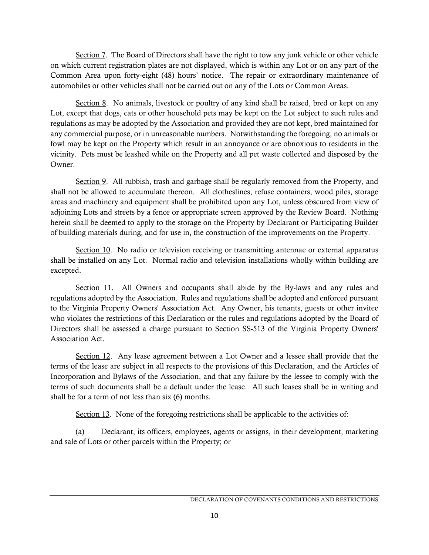Section 7. The Board of Directors shall have the right to tow any junk vehicle or other vehicle on which current registration plates are not displayed, which is within any Lot or on any part of the Common Area upon forty-eight (48) hours' notice. The repair or extraordinary maintenance of automobiles or other vehicles shall not be carried out on any of the Lots or Common Areas.

Section 8. No animals, livestock or poultry of any kind shall be raised, bred or kept on any Lot, except that dogs, cats or other household pets may be kept on the Lot subject to such rules and regulations as may be adopted by the Association and provided they are not kept, bred maintained for any commercial purpose, or in unreasonable numbers. Notwithstanding the foregoing, no animals or fowl may be kept on the Property which result in an annoyance or are obnoxious to residents in the vicinity. Pets must be leashed while on the Property and all pet waste collected and disposed by the Owner.

Section 9. All rubbish, trash and garbage shall be regularly removed from the Property, and shall not be allowed to accumulate thereon. All clotheslines, refuse containers, wood piles, storage areas and machinery and equipment shall be prohibited upon any Lot, unless obscured from view of adjoining Lots and streets by a fence or appropriate screen approved by the Review Board. Nothing herein shall be deemed to apply to the storage on the Property by Declarant or Participating Builder of building materials during, and for use in, the construction of the improvements on the Property.

Section 10. No radio or television receiving or transmitting antennae or external apparatus shall be installed on any Lot. Normal radio and television installations wholly within building are excepted.

Section 11. All Owners and occupants shall abide by the By-laws and any rules and regulations adopted by the Association. Rules and regulations shall be adopted and enforced pursuant to the Virginia Property Owners' Association Act. Any Owner, his tenants, guests or other invitee who violates the restrictions of this Declaration or the rules and regulations adopted by the Board of Directors shall be assessed a charge pursuant to Section SS-513 of the Virginia Property Owners' Association Act.

Section 12. Any lease agreement between a Lot Owner and a lessee shall provide that the terms of the lease are subject in all respects to the provisions of this Declaration, and the Articles of Incorporation and Bylaws of the Association, and that any failure by the lessee to comply with the terms of such documents shall be a default under the lease. All such leases shall be in writing and shall be for a term of not less than six (6) months.

Section 13. None of the foregoing restrictions shall be applicable to the activities of:

(a) Declarant, its officers, employees, agents or assigns, in their development, marketing and sale of Lots or other parcels within the Property; or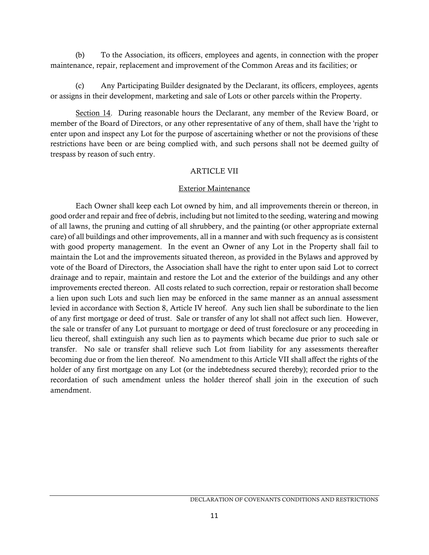(b) To the Association, its officers, employees and agents, in connection with the proper maintenance, repair, replacement and improvement of the Common Areas and its facilities; or

(c) Any Participating Builder designated by the Declarant, its officers, employees, agents or assigns in their development, marketing and sale of Lots or other parcels within the Property.

Section 14. During reasonable hours the Declarant, any member of the Review Board, or member of the Board of Directors, or any other representative of any of them, shall have the 'right to enter upon and inspect any Lot for the purpose of ascertaining whether or not the provisions of these restrictions have been or are being complied with, and such persons shall not be deemed guilty of trespass by reason of such entry.

## ARTICLE VII

### Exterior Maintenance

Each Owner shall keep each Lot owned by him, and all improvements therein or thereon, in good order and repair and free of debris, including but not limited to the seeding, watering and mowing of all lawns, the pruning and cutting of all shrubbery, and the painting (or other appropriate external care) of all buildings and other improvements, all in a manner and with such frequency as is consistent with good property management. In the event an Owner of any Lot in the Property shall fail to maintain the Lot and the improvements situated thereon, as provided in the Bylaws and approved by vote of the Board of Directors, the Association shall have the right to enter upon said Lot to correct drainage and to repair, maintain and restore the Lot and the exterior of the buildings and any other improvements erected thereon. All costs related to such correction, repair or restoration shall become a lien upon such Lots and such lien may be enforced in the same manner as an annual assessment levied in accordance with Section 8, Article IV hereof. Any such lien shall be subordinate to the lien of any first mortgage or deed of trust. Sale or transfer of any lot shall not affect such lien. However, the sale or transfer of any Lot pursuant to mortgage or deed of trust foreclosure or any proceeding in lieu thereof, shall extinguish any such lien as to payments which became due prior to such sale or transfer. No sale or transfer shall relieve such Lot from liability for any assessments thereafter becoming due or from the lien thereof. No amendment to this Article VII shall affect the rights of the holder of any first mortgage on any Lot (or the indebtedness secured thereby); recorded prior to the recordation of such amendment unless the holder thereof shall join in the execution of such amendment.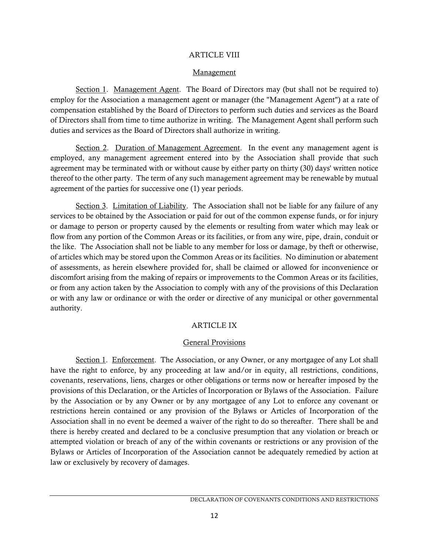#### ARTICLE VIII

#### Management

Section 1. Management Agent. The Board of Directors may (but shall not be required to) employ for the Association a management agent or manager (the "Management Agent") at a rate of compensation established by the Board of Directors to perform such duties and services as the Board of Directors shall from time to time authorize in writing. The Management Agent shall perform such duties and services as the Board of Directors shall authorize in writing.

Section 2. Duration of Management Agreement. In the event any management agent is employed, any management agreement entered into by the Association shall provide that such agreement may be terminated with or without cause by either party on thirty (30) days' written notice thereof to the other party. The term of any such management agreement may be renewable by mutual agreement of the parties for successive one (1) year periods.

Section 3. Limitation of Liability. The Association shall not be liable for any failure of any services to be obtained by the Association or paid for out of the common expense funds, or for injury or damage to person or property caused by the elements or resulting from water which may leak or flow from any portion of the Common Areas or its facilities, or from any wire, pipe, drain, conduit or the like. The Association shall not be liable to any member for loss or damage, by theft or otherwise, of articles which may be stored upon the Common Areas or its facilities. No diminution or abatement of assessments, as herein elsewhere provided for, shall be claimed or allowed for inconvenience or discomfort arising from the making of repairs or improvements to the Common Areas or its facilities, or from any action taken by the Association to comply with any of the provisions of this Declaration or with any law or ordinance or with the order or directive of any municipal or other governmental authority.

## ARTICLE IX

### General Provisions

Section 1. Enforcement. The Association, or any Owner, or any mortgagee of any Lot shall have the right to enforce, by any proceeding at law and/or in equity, all restrictions, conditions, covenants, reservations, liens, charges or other obligations or terms now or hereafter imposed by the provisions of this Declaration, or the Articles of Incorporation or Bylaws of the Association. Failure by the Association or by any Owner or by any mortgagee of any Lot to enforce any covenant or restrictions herein contained or any provision of the Bylaws or Articles of Incorporation of the Association shall in no event be deemed a waiver of the right to do so thereafter. There shall be and there is hereby created and declared to be a conclusive presumption that any violation or breach or attempted violation or breach of any of the within covenants or restrictions or any provision of the Bylaws or Articles of Incorporation of the Association cannot be adequately remedied by action at law or exclusively by recovery of damages.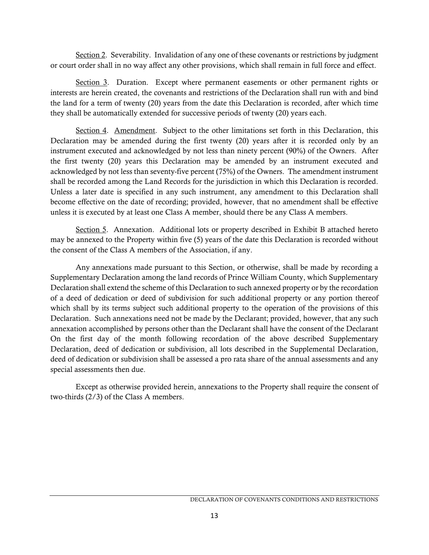Section 2. Severability. Invalidation of any one of these covenants or restrictions by judgment or court order shall in no way affect any other provisions, which shall remain in full force and effect.

Section 3. Duration. Except where permanent easements or other permanent rights or interests are herein created, the covenants and restrictions of the Declaration shall run with and bind the land for a term of twenty (20) years from the date this Declaration is recorded, after which time they shall be automatically extended for successive periods of twenty (20) years each.

Section 4. Amendment. Subject to the other limitations set forth in this Declaration, this Declaration may be amended during the first twenty (20) years after it is recorded only by an instrument executed and acknowledged by not less than ninety percent (90%) of the Owners. After the first twenty (20) years this Declaration may be amended by an instrument executed and acknowledged by not less than seventy-five percent (75%) of the Owners. The amendment instrument shall be recorded among the Land Records for the jurisdiction in which this Declaration is recorded. Unless a later date is specified in any such instrument, any amendment to this Declaration shall become effective on the date of recording; provided, however, that no amendment shall be effective unless it is executed by at least one Class A member, should there be any Class A members.

Section 5. Annexation. Additional lots or property described in Exhibit B attached hereto may be annexed to the Property within five (5) years of the date this Declaration is recorded without the consent of the Class A members of the Association, if any.

Any annexations made pursuant to this Section, or otherwise, shall be made by recording a Supplementary Declaration among the land records of Prince William County, which Supplementary Declaration shall extend the scheme of this Declaration to such annexed property or by the recordation of a deed of dedication or deed of subdivision for such additional property or any portion thereof which shall by its terms subject such additional property to the operation of the provisions of this Declaration. Such annexations need not be made by the Declarant; provided, however, that any such annexation accomplished by persons other than the Declarant shall have the consent of the Declarant On the first day of the month following recordation of the above described Supplementary Declaration, deed of dedication or subdivision, all lots described in the Supplemental Declaration, deed of dedication or subdivision shall be assessed a pro rata share of the annual assessments and any special assessments then due.

Except as otherwise provided herein, annexations to the Property shall require the consent of two-thirds (2/3) of the Class A members.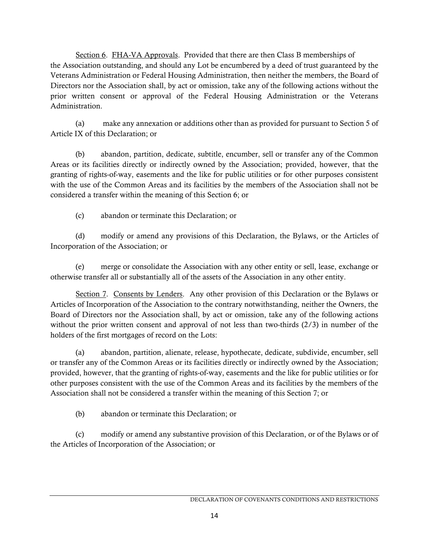Section 6. FHA-VA Approvals. Provided that there are then Class B memberships of the Association outstanding, and should any Lot be encumbered by a deed of trust guaranteed by the Veterans Administration or Federal Housing Administration, then neither the members, the Board of Directors nor the Association shall, by act or omission, take any of the following actions without the prior written consent or approval of the Federal Housing Administration or the Veterans Administration.

(a) make any annexation or additions other than as provided for pursuant to Section 5 of Article IX of this Declaration; or

(b) abandon, partition, dedicate, subtitle, encumber, sell or transfer any of the Common Areas or its facilities directly or indirectly owned by the Association; provided, however, that the granting of rights-of-way, easements and the like for public utilities or for other purposes consistent with the use of the Common Areas and its facilities by the members of the Association shall not be considered a transfer within the meaning of this Section 6; or

(c) abandon or terminate this Declaration; or

(d) modify or amend any provisions of this Declaration, the Bylaws, or the Articles of Incorporation of the Association; or

(e) merge or consolidate the Association with any other entity or sell, lease, exchange or otherwise transfer all or substantially all of the assets of the Association in any other entity.

Section 7. Consents by Lenders. Any other provision of this Declaration or the Bylaws or Articles of Incorporation of the Association to the contrary notwithstanding, neither the Owners, the Board of Directors nor the Association shall, by act or omission, take any of the following actions without the prior written consent and approval of not less than two-thirds (2/3) in number of the holders of the first mortgages of record on the Lots:

(a) abandon, partition, alienate, release, hypothecate, dedicate, subdivide, encumber, sell or transfer any of the Common Areas or its facilities directly or indirectly owned by the Association; provided, however, that the granting of rights-of-way, easements and the like for public utilities or for other purposes consistent with the use of the Common Areas and its facilities by the members of the Association shall not be considered a transfer within the meaning of this Section 7; or

(b) abandon or terminate this Declaration; or

(c) modify or amend any substantive provision of this Declaration, or of the Bylaws or of the Articles of Incorporation of the Association; or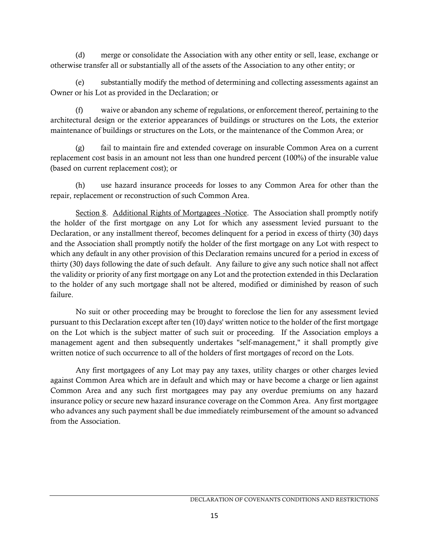(d) merge or consolidate the Association with any other entity or sell, lease, exchange or otherwise transfer all or substantially all of the assets of the Association to any other entity; or

(e) substantially modify the method of determining and collecting assessments against an Owner or his Lot as provided in the Declaration; or

(f) waive or abandon any scheme of regulations, or enforcement thereof, pertaining to the architectural design or the exterior appearances of buildings or structures on the Lots, the exterior maintenance of buildings or structures on the Lots, or the maintenance of the Common Area; or

(g) fail to maintain fire and extended coverage on insurable Common Area on a current replacement cost basis in an amount not less than one hundred percent (100%) of the insurable value (based on current replacement cost); or

(h) use hazard insurance proceeds for losses to any Common Area for other than the repair, replacement or reconstruction of such Common Area.

Section 8. Additional Rights of Mortgagees -Notice. The Association shall promptly notify the holder of the first mortgage on any Lot for which any assessment levied pursuant to the Declaration, or any installment thereof, becomes delinquent for a period in excess of thirty (30) days and the Association shall promptly notify the holder of the first mortgage on any Lot with respect to which any default in any other provision of this Declaration remains uncured for a period in excess of thirty (30) days following the date of such default. Any failure to give any such notice shall not affect the validity or priority of any first mortgage on any Lot and the protection extended in this Declaration to the holder of any such mortgage shall not be altered, modified or diminished by reason of such failure.

No suit or other proceeding may be brought to foreclose the lien for any assessment levied pursuant to this Declaration except after ten (10) days' written notice to the holder of the first mortgage on the Lot which is the subject matter of such suit or proceeding. If the Association employs a management agent and then subsequently undertakes "self-management," it shall promptly give written notice of such occurrence to all of the holders of first mortgages of record on the Lots.

Any first mortgagees of any Lot may pay any taxes, utility charges or other charges levied against Common Area which are in default and which may or have become a charge or lien against Common Area and any such first mortgagees may pay any overdue premiums on any hazard insurance policy or secure new hazard insurance coverage on the Common Area. Any first mortgagee who advances any such payment shall be due immediately reimbursement of the amount so advanced from the Association.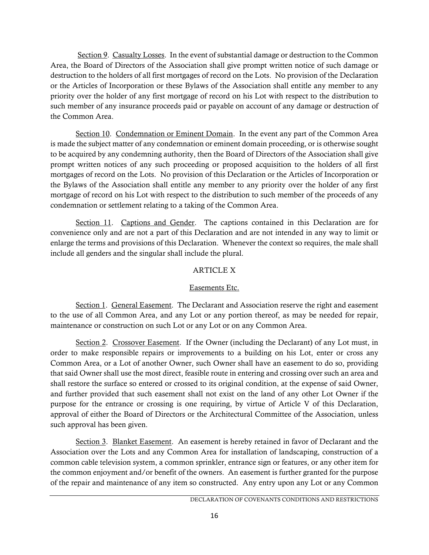Section 9. Casualty Losses. In the event of substantial damage or destruction to the Common Area, the Board of Directors of the Association shall give prompt written notice of such damage or destruction to the holders of all first mortgages of record on the Lots. No provision of the Declaration or the Articles of Incorporation or these Bylaws of the Association shall entitle any member to any priority over the holder of any first mortgage of record on his Lot with respect to the distribution to such member of any insurance proceeds paid or payable on account of any damage or destruction of the Common Area.

Section 10. Condemnation or Eminent Domain. In the event any part of the Common Area is made the subject matter of any condemnation or eminent domain proceeding, or is otherwise sought to be acquired by any condemning authority, then the Board of Directors of the Association shall give prompt written notices of any such proceeding or proposed acquisition to the holders of all first mortgages of record on the Lots. No provision of this Declaration or the Articles of Incorporation or the Bylaws of the Association shall entitle any member to any priority over the holder of any first mortgage of record on his Lot with respect to the distribution to such member of the proceeds of any condemnation or settlement relating to a taking of the Common Area.

Section 11. Captions and Gender. The captions contained in this Declaration are for convenience only and are not a part of this Declaration and are not intended in any way to limit or enlarge the terms and provisions of this Declaration. Whenever the context so requires, the male shall include all genders and the singular shall include the plural.

# ARTICLE X

# Easements Etc.

Section 1. General Easement. The Declarant and Association reserve the right and easement to the use of all Common Area, and any Lot or any portion thereof, as may be needed for repair, maintenance or construction on such Lot or any Lot or on any Common Area.

Section 2. Crossover Easement. If the Owner (including the Declarant) of any Lot must, in order to make responsible repairs or improvements to a building on his Lot, enter or cross any Common Area, or a Lot of another Owner, such Owner shall have an easement to do so, providing that said Owner shall use the most direct, feasible route in entering and crossing over such an area and shall restore the surface so entered or crossed to its original condition, at the expense of said Owner, and further provided that such easement shall not exist on the land of any other Lot Owner if the purpose for the entrance or crossing is one requiring, by virtue of Article V of this Declaration, approval of either the Board of Directors or the Architectural Committee of the Association, unless such approval has been given.

Section 3. Blanket Easement. An easement is hereby retained in favor of Declarant and the Association over the Lots and any Common Area for installation of landscaping, construction of a common cable television system, a common sprinkler, entrance sign or features, or any other item for the common enjoyment and/or benefit of the owners. An easement is further granted for the purpose of the repair and maintenance of any item so constructed. Any entry upon any Lot or any Common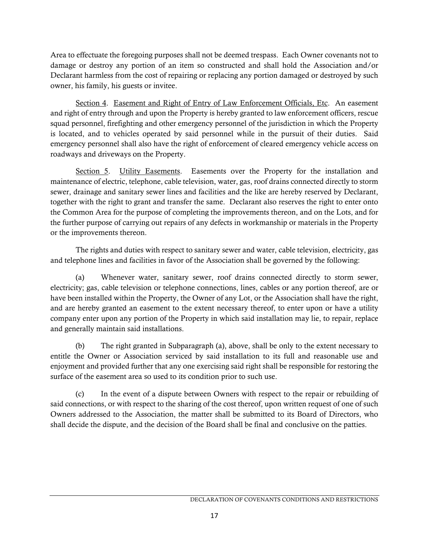Area to effectuate the foregoing purposes shall not be deemed trespass. Each Owner covenants not to damage or destroy any portion of an item so constructed and shall hold the Association and/or Declarant harmless from the cost of repairing or replacing any portion damaged or destroyed by such owner, his family, his guests or invitee.

Section 4. Easement and Right of Entry of Law Enforcement Officials, Etc. An easement and right of entry through and upon the Property is hereby granted to law enforcement officers, rescue squad personnel, firefighting and other emergency personnel of the jurisdiction in which the Property is located, and to vehicles operated by said personnel while in the pursuit of their duties. Said emergency personnel shall also have the right of enforcement of cleared emergency vehicle access on roadways and driveways on the Property.

Section 5. Utility Easements. Easements over the Property for the installation and maintenance of electric, telephone, cable television, water, gas, roof drains connected directly to storm sewer, drainage and sanitary sewer lines and facilities and the like are hereby reserved by Declarant, together with the right to grant and transfer the same. Declarant also reserves the right to enter onto the Common Area for the purpose of completing the improvements thereon, and on the Lots, and for the further purpose of carrying out repairs of any defects in workmanship or materials in the Property or the improvements thereon.

The rights and duties with respect to sanitary sewer and water, cable television, electricity, gas and telephone lines and facilities in favor of the Association shall be governed by the following:

(a) Whenever water, sanitary sewer, roof drains connected directly to storm sewer, electricity; gas, cable television or telephone connections, lines, cables or any portion thereof, are or have been installed within the Property, the Owner of any Lot, or the Association shall have the right, and are hereby granted an easement to the extent necessary thereof, to enter upon or have a utility company enter upon any portion of the Property in which said installation may lie, to repair, replace and generally maintain said installations.

(b) The right granted in Subparagraph (a), above, shall be only to the extent necessary to entitle the Owner or Association serviced by said installation to its full and reasonable use and enjoyment and provided further that any one exercising said right shall be responsible for restoring the surface of the easement area so used to its condition prior to such use.

(c) In the event of a dispute between Owners with respect to the repair or rebuilding of said connections, or with respect to the sharing of the cost thereof, upon written request of one of such Owners addressed to the Association, the matter shall be submitted to its Board of Directors, who shall decide the dispute, and the decision of the Board shall be final and conclusive on the patties.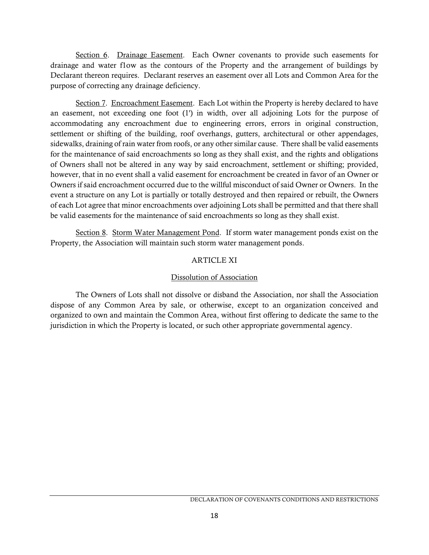Section 6. Drainage Easement. Each Owner covenants to provide such easements for drainage and water f1ow as the contours of the Property and the arrangement of buildings by Declarant thereon requires. Declarant reserves an easement over all Lots and Common Area for the purpose of correcting any drainage deficiency.

Section 7. Encroachment Easement. Each Lot within the Property is hereby declared to have an easement, not exceeding one foot (1') in width, over all adjoining Lots for the purpose of accommodating any encroachment due to engineering errors, errors in original construction, settlement or shifting of the building, roof overhangs, gutters, architectural or other appendages, sidewalks, draining of rain water from roofs, or any other similar cause. There shall be valid easements for the maintenance of said encroachments so long as they shall exist, and the rights and obligations of Owners shall not be altered in any way by said encroachment, settlement or shifting; provided, however, that in no event shall a valid easement for encroachment be created in favor of an Owner or Owners if said encroachment occurred due to the willful misconduct of said Owner or Owners. In the event a structure on any Lot is partially or totally destroyed and then repaired or rebuilt, the Owners of each Lot agree that minor encroachments over adjoining Lots shall be permitted and that there shall be valid easements for the maintenance of said encroachments so long as they shall exist.

Section 8. Storm Water Management Pond. If storm water management ponds exist on the Property, the Association will maintain such storm water management ponds.

# ARTICLE XI

## Dissolution of Association

The Owners of Lots shall not dissolve or disband the Association, nor shall the Association dispose of any Common Area by sale, or otherwise, except to an organization conceived and organized to own and maintain the Common Area, without first offering to dedicate the same to the jurisdiction in which the Property is located, or such other appropriate governmental agency.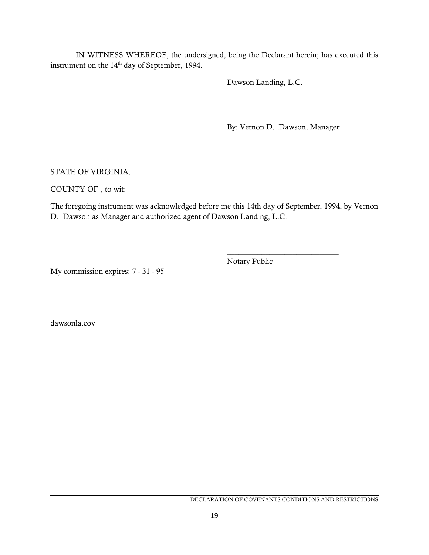IN WITNESS WHEREOF, the undersigned, being the Declarant herein; has executed this instrument on the 14<sup>th</sup> day of September, 1994.

Dawson Landing, L.C.

\_\_\_\_\_\_\_\_\_\_\_\_\_\_\_\_\_\_\_\_\_\_\_\_\_\_\_\_\_ By: Vernon D. Dawson, Manager

\_\_\_\_\_\_\_\_\_\_\_\_\_\_\_\_\_\_\_\_\_\_\_\_\_\_\_\_\_

STATE OF VIRGINIA.

COUNTY OF , to wit:

The foregoing instrument was acknowledged before me this 14th day of September, 1994, by Vernon D. Dawson as Manager and authorized agent of Dawson Landing, L.C.

Notary Public

My commission expires: 7 - 31 - 95

dawsonla.cov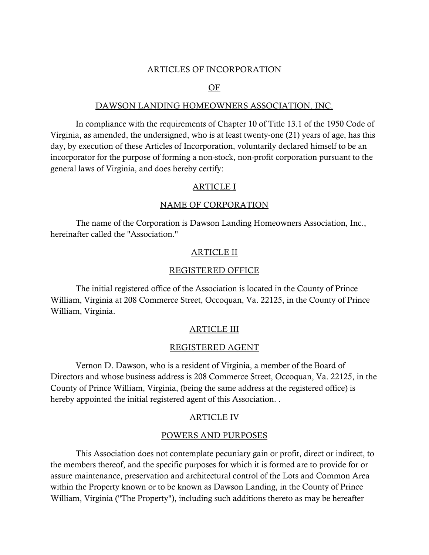### ARTICLES OF INCORPORATION

### OF

#### DAWSON LANDING HOMEOWNERS ASSOCIATION. INC.

In compliance with the requirements of Chapter 10 of Title 13.1 of the 1950 Code of Virginia, as amended, the undersigned, who is at least twenty-one (21) years of age, has this day, by execution of these Articles of Incorporation, voluntarily declared himself to be an incorporator for the purpose of forming a non-stock, non-profit corporation pursuant to the general laws of Virginia, and does hereby certify:

### ARTICLE I

### NAME OF CORPORATION

The name of the Corporation is Dawson Landing Homeowners Association, Inc., hereinafter called the "Association."

### ARTICLE II

### REGISTERED OFFICE

The initial registered office of the Association is located in the County of Prince William, Virginia at 208 Commerce Street, Occoquan, Va. 22125, in the County of Prince William, Virginia.

### ARTICLE III

#### REGISTERED AGENT

Vernon D. Dawson, who is a resident of Virginia, a member of the Board of Directors and whose business address is 208 Commerce Street, Occoquan, Va. 22125, in the County of Prince William, Virginia, (being the same address at the registered office) is hereby appointed the initial registered agent of this Association. .

#### ARTICLE IV

### POWERS AND PURPOSES

This Association does not contemplate pecuniary gain or profit, direct or indirect, to the members thereof, and the specific purposes for which it is formed are to provide for or assure maintenance, preservation and architectural control of the Lots and Common Area within the Property known or to be known as Dawson Landing, in the County of Prince William, Virginia ("The Property"), including such additions thereto as may be hereafter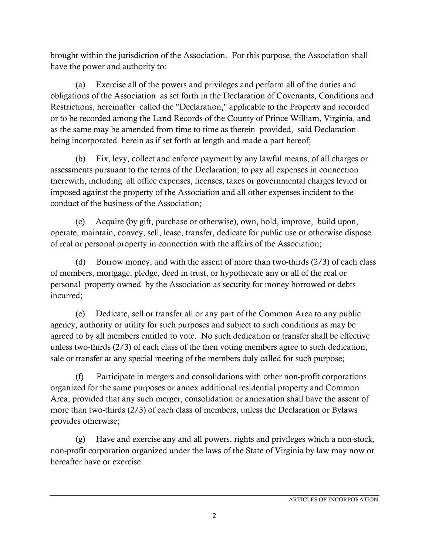brought within the jurisdiction of the Association. For this purpose, the Association shall have the power and authority to:

(a) Exercise all of the powers and privileges and perform all of the duties and obligations of the Association as set forth in the Declaration of Covenants, Conditions and Restrictions, hereinafter called the "Declaration," applicable to the Property and recorded or to be recorded among the Land Records of the County of Prince William, Virginia, and as the same may be amended from time to time as therein provided, said Declaration being incorporated herein as if set forth at length and made a part hereof;

(b) Fix, levy, collect and enforce payment by any lawful means, of all charges or assessments pursuant to the terms of the Declaration; to pay all expenses in connection therewith, including all office expenses, licenses, taxes or governmental charges levied or imposed against the property of the Association and all other expenses incident to the conduct of the business of the Association;

(c) Acquire (by gift, purchase or otherwise), own, hold, improve, build upon, operate, maintain, convey, sell, lease, transfer, dedicate for public use or otherwise dispose of real or personal property in connection with the affairs of the Association;

(d) Borrow money, and with the assent of more than two-thirds  $(2/3)$  of each class of members, mortgage, pledge, deed in trust, or hypothecate any or all of the real or personal property owned by the Association as security for money borrowed or debts incurred;

(e) Dedicate, sell or transfer all or any part of the Common Area to any public agency, authority or utility for such purposes and subject to such conditions as may be agreed to by all members entitled to vote. No such dedication or transfer shall be effective unless two-thirds (2/3) of each class of the then voting members agree to such dedication, sale or transfer at any special meeting of the members duly called for such purpose;

(f) Participate in mergers and consolidations with other non-profit corporations organized for the same purposes or annex additional residential property and Common Area, provided that any such merger, consolidation or annexation shall have the assent of more than two-thirds (2/3) of each class of members, unless the Declaration or Bylaws provides otherwise;

(g) Have and exercise any and all powers, rights and privileges which a non-stock, non-profit corporation organized under the laws of the State of Virginia by law may now or hereafter have or exercise.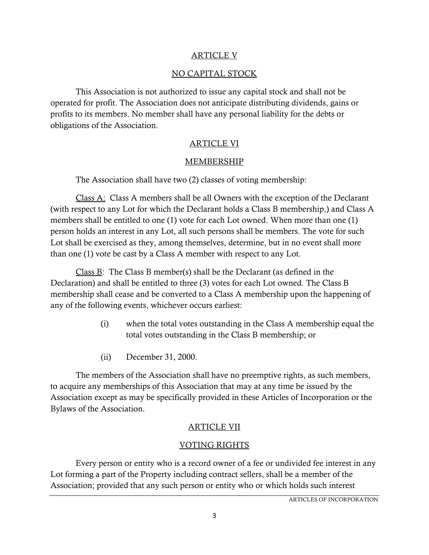## <u>ARTICLE V</u>

# NO CAPITAL STOCK

This Association is not authorized to issue any capital stock and shall not be operated for profit. The Association does not anticipate distributing dividends, gains or profits to its members. No member shall have any personal liability for the debts or obligations of the Association.

# ARTICLE VI

## **MEMBERSHIP**

The Association shall have two (2) classes of voting membership:

Class A: Class A members shall be all Owners with the exception of the Declarant (with respect to any Lot for which the Declarant holds a Class B membership,) and Class A members shall be entitled to one (1) vote for each Lot owned. When more than one (1) person holds an interest in any Lot, all such persons shall be members. The vote for such Lot shall be exercised as they, among themselves, determine, but in no event shall more than one (1) vote be cast by a Class A member with respect to any Lot.

Class B: The Class B member(s) shall be the Declarant (as defined in the Declaration) and shall be entitled to three (3) votes for each Lot owned. The Class B membership shall cease and be converted to a Class A membership upon the happening of any of the following events, whichever occurs earliest:

- (i) when the total votes outstanding in the Class A membership equal the total votes outstanding in the Class B membership; or
- (ii) December 31, 2000.

The members of the Association shall have no preemptive rights, as such members, to acquire any memberships of this Association that may at any time be issued by the Association except as may be specifically provided in these Articles of Incorporation or the Bylaws of the Association.

# ARTICLE VII

# VOTING RIGHTS

Every person or entity who is a record owner of a fee or undivided fee interest in any Lot forming a part of the Property including contract sellers, shall be a member of the Association; provided that any such person or entity who or which holds such interest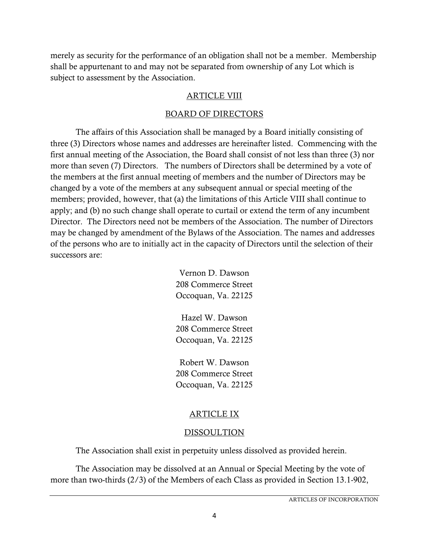merely as security for the performance of an obligation shall not be a member. Membership shall be appurtenant to and may not be separated from ownership of any Lot which is subject to assessment by the Association.

### ARTICLE VIII

### BOARD OF DIRECTORS

The affairs of this Association shall be managed by a Board initially consisting of three (3) Directors whose names and addresses are hereinafter listed. Commencing with the first annual meeting of the Association, the Board shall consist of not less than three (3) nor more than seven (7) Directors. The numbers of Directors shall be determined by a vote of the members at the first annual meeting of members and the number of Directors may be changed by a vote of the members at any subsequent annual or special meeting of the members; provided, however, that (a) the limitations of this Article VIII shall continue to apply; and (b) no such change shall operate to curtail or extend the term of any incumbent Director. The Directors need not be members of the Association. The number of Directors may be changed by amendment of the Bylaws of the Association. The names and addresses of the persons who are to initially act in the capacity of Directors until the selection of their successors are:

> Vernon D. Dawson 208 Commerce Street Occoquan, Va. 22125

> Hazel W. Dawson 208 Commerce Street Occoquan, Va. 22125

> Robert W. Dawson 208 Commerce Street Occoquan, Va. 22125

## ARTICLE IX

## DISSOULTION

The Association shall exist in perpetuity unless dissolved as provided herein.

The Association may be dissolved at an Annual or Special Meeting by the vote of more than two-thirds (2/3) of the Members of each Class as provided in Section 13.1-902,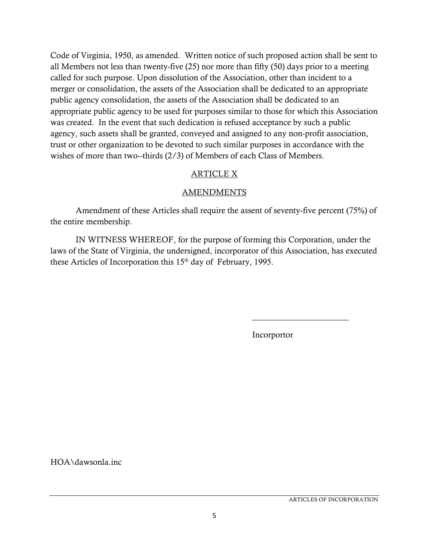Code of Virginia, 1950, as amended. Written notice of such proposed action shall be sent to all Members not less than twenty-five (25) nor more than fifty (50) days prior to a meeting called for such purpose. Upon dissolution of the Association, other than incident to a merger or consolidation, the assets of the Association shall be dedicated to an appropriate public agency consolidation, the assets of the Association shall be dedicated to an appropriate public agency to be used for purposes similar to those for which this Association was created. In the event that such dedication is refused acceptance by such a public agency, such assets shall be granted, conveyed and assigned to any non-profit association, trust or other organization to be devoted to such similar purposes in accordance with the wishes of more than two--thirds (2/3) of Members of each Class of Members.

# ARTICLE X

# AMENDMENTS

Amendment of these Articles shall require the assent of seventy-five percent (75%) of the entire membership.

IN WITNESS WHEREOF, for the purpose of forming this Corporation, under the laws of the State of Virginia, the undersigned, incorporator of this Association, has executed these Articles of Incorporation this  $15<sup>th</sup>$  day of February, 1995.

Incorportor

 $\overline{\phantom{a}}$  , where  $\overline{\phantom{a}}$  , where  $\overline{\phantom{a}}$ 

HOA\dawsonla.inc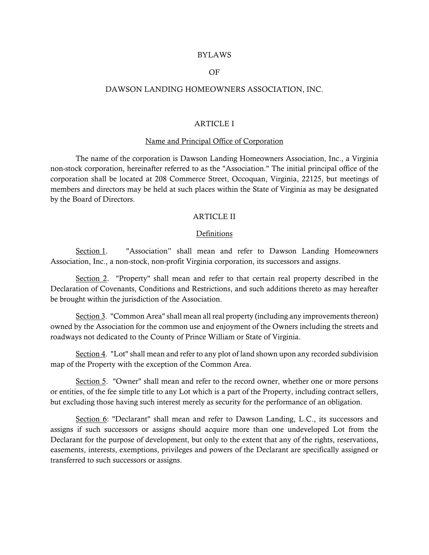#### BYLAWS

#### OF

#### DAWSON LANDING HOMEOWNERS ASSOCIATION, INC.

#### ARTICLE I

#### Name and Principal Office of Corporation

The name of the corporation is Dawson Landing Homeowners Association, Inc., a Virginia non-stock corporation, hereinafter referred to as the "Association." The initial principal office of the corporation shall be located at 208 Commerce Street, Occoquan, Virginia, 22125, but meetings of members and directors may be held at such places within the State of Virginia as may be designated by the Board of Directors.

#### ARTICLE II

#### Definitions

Section 1. "Association" shall mean and refer to Dawson Landing Homeowners Association, Inc., a non-stock, non-profit Virginia corporation, its successors and assigns.

Section 2. "Property" shall mean and refer to that certain real property described in the Declaration of Covenants, Conditions and Restrictions, and such additions thereto as may hereafter be brought within the jurisdiction of the Association.

Section 3. "Common Area" shall mean all real property (including any improvements thereon) owned by the Association for the common use and enjoyment of the Owners including the streets and roadways not dedicated to the County of Prince William or State of Virginia.

Section 4. "Lot" shall mean and refer to any plot of land shown upon any recorded subdivision map of the Property with the exception of the Common Area.

Section 5. "Owner" shall mean and refer to the record owner, whether one or more persons or entities, of the fee simple title to any Lot which is a part of the Property, including contract sellers, but excluding those having such interest merely as security for the performance of an obligation.

Section 6: "Declarant" shall mean and refer to Dawson Landing, L.C., its successors and assigns if such successors or assigns should acquire more than one undeveloped Lot from the Declarant for the purpose of development, but only to the extent that any of the rights, reservations, easements, interests, exemptions, privileges and powers of the Declarant are specifically assigned or transferred to such successors or assigns.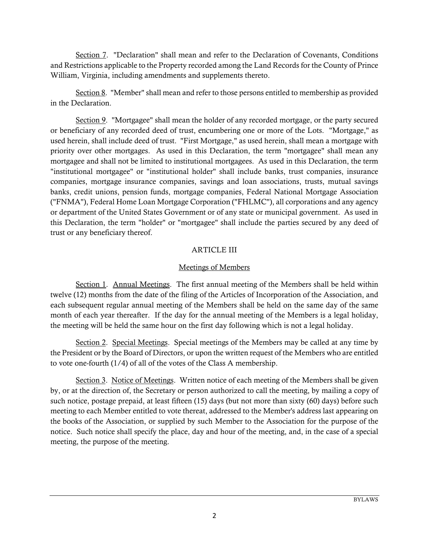Section 7. "Declaration" shall mean and refer to the Declaration of Covenants, Conditions and Restrictions applicable to the Property recorded among the Land Records for the County of Prince William, Virginia, including amendments and supplements thereto.

Section 8. "Member" shall mean and refer to those persons entitled to membership as provided in the Declaration.

Section 9. "Mortgagee" shall mean the holder of any recorded mortgage, or the party secured or beneficiary of any recorded deed of trust, encumbering one or more of the Lots. "Mortgage," as used herein, shall include deed of trust. "First Mortgage," as used herein, shall mean a mortgage with priority over other mortgages. As used in this Declaration, the term "mortgagee" shall mean any mortgagee and shall not be limited to institutional mortgagees. As used in this Declaration, the term "institutional mortgagee" or "institutional holder" shall include banks, trust companies, insurance companies, mortgage insurance companies, savings and loan associations, trusts, mutual savings banks, credit unions, pension funds, mortgage companies, Federal National Mortgage Association ("FNMA"), Federal Home Loan Mortgage Corporation ("FHLMC"), all corporations and any agency or department of the United States Government or of any state or municipal government. As used in this Declaration, the term "holder" or "mortgagee" shall include the parties secured by any deed of trust or any beneficiary thereof.

## ARTICLE III

## Meetings of Members

Section 1. Annual Meetings. The first annual meeting of the Members shall be held within twelve (12) months from the date of the filing of the Articles of Incorporation of the Association, and each subsequent regular annual meeting of the Members shall be held on the same day of the same month of each year thereafter. If the day for the annual meeting of the Members is a legal holiday, the meeting will be held the same hour on the first day following which is not a legal holiday.

Section 2. Special Meetings. Special meetings of the Members may be called at any time by the President or by the Board of Directors, or upon the written request of the Members who are entitled to vote one-fourth (1/4) of all of the votes of the Class A membership.

Section 3. Notice of Meetings. Written notice of each meeting of the Members shall be given by, or at the direction of, the Secretary or person authorized to call the meeting, by mailing a copy of such notice, postage prepaid, at least fifteen (15) days (but not more than sixty (60) days) before such meeting to each Member entitled to vote thereat, addressed to the Member's address last appearing on the books of the Association, or supplied by such Member to the Association for the purpose of the notice. Such notice shall specify the place, day and hour of the meeting, and, in the case of a special meeting, the purpose of the meeting.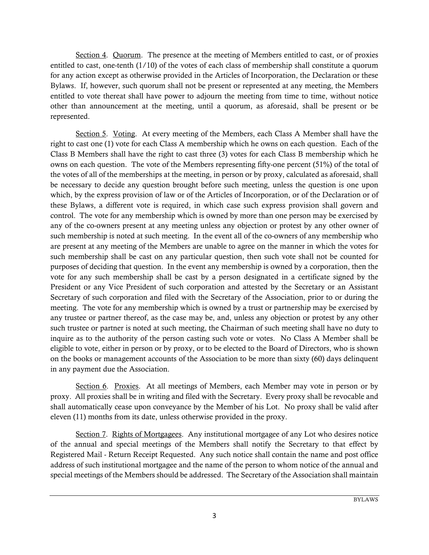Section 4. Quorum. The presence at the meeting of Members entitled to cast, or of proxies entitled to cast, one-tenth (1/10) of the votes of each class of membership shall constitute a quorum for any action except as otherwise provided in the Articles of Incorporation, the Declaration or these Bylaws. If, however, such quorum shall not be present or represented at any meeting, the Members entitled to vote thereat shall have power to adjourn the meeting from time to time, without notice other than announcement at the meeting, until a quorum, as aforesaid, shall be present or be represented.

Section 5. Voting. At every meeting of the Members, each Class A Member shall have the right to cast one (1) vote for each Class A membership which he owns on each question. Each of the Class B Members shall have the right to cast three (3) votes for each Class B membership which he owns on each question. The vote of the Members representing fifty-one percent (51%) of the total of the votes of all of the memberships at the meeting, in person or by proxy, calculated as aforesaid, shall be necessary to decide any question brought before such meeting, unless the question is one upon which, by the express provision of law or of the Articles of Incorporation, or of the Declaration or of these Bylaws, a different vote is required, in which case such express provision shall govern and control. The vote for any membership which is owned by more than one person may be exercised by any of the co-owners present at any meeting unless any objection or protest by any other owner of such membership is noted at such meeting. In the event all of the co-owners of any membership who are present at any meeting of the Members are unable to agree on the manner in which the votes for such membership shall be cast on any particular question, then such vote shall not be counted for purposes of deciding that question. In the event any membership is owned by a corporation, then the vote for any such membership shall be cast by a person designated in a certificate signed by the President or any Vice President of such corporation and attested by the Secretary or an Assistant Secretary of such corporation and filed with the Secretary of the Association, prior to or during the meeting. The vote for any membership which is owned by a trust or partnership may be exercised by any trustee or partner thereof, as the case may be, and, unless any objection or protest by any other such trustee or partner is noted at such meeting, the Chairman of such meeting shall have no duty to inquire as to the authority of the person casting such vote or votes. No Class A Member shall be eligible to vote, either in person or by proxy, or to be elected to the Board of Directors, who is shown on the books or management accounts of the Association to be more than sixty (60) days delinquent in any payment due the Association.

Section 6. Proxies. At all meetings of Members, each Member may vote in person or by proxy. All proxies shall be in writing and filed with the Secretary. Every proxy shall be revocable and shall automatically cease upon conveyance by the Member of his Lot. No proxy shall be valid after eleven (11) months from its date, unless otherwise provided in the proxy.

Section 7. Rights of Mortgagees. Any institutional mortgagee of any Lot who desires notice of the annual and special meetings of the Members shall notify the Secretary to that effect by Registered Mail - Return Receipt Requested. Any such notice shall contain the name and post office address of such institutional mortgagee and the name of the person to whom notice of the annual and special meetings of the Members should be addressed. The Secretary of the Association shall maintain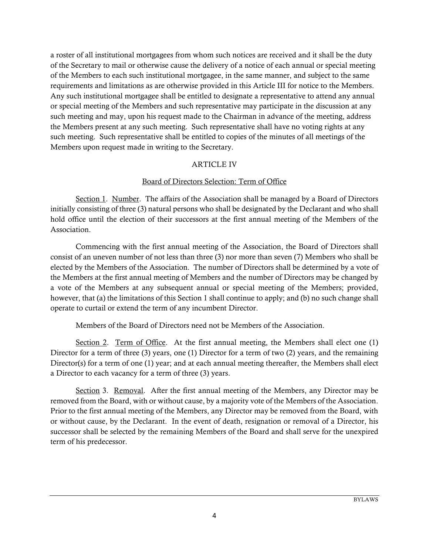a roster of all institutional mortgagees from whom such notices are received and it shall be the duty of the Secretary to mail or otherwise cause the delivery of a notice of each annual or special meeting of the Members to each such institutional mortgagee, in the same manner, and subject to the same requirements and limitations as are otherwise provided in this Article III for notice to the Members. Any such institutional mortgagee shall be entitled to designate a representative to attend any annual or special meeting of the Members and such representative may participate in the discussion at any such meeting and may, upon his request made to the Chairman in advance of the meeting, address the Members present at any such meeting. Such representative shall have no voting rights at any such meeting. Such representative shall be entitled to copies of the minutes of all meetings of the Members upon request made in writing to the Secretary.

## ARTICLE IV

### Board of Directors Selection: Term of Office

Section 1. Number. The affairs of the Association shall be managed by a Board of Directors initially consisting of three (3) natural persons who shall be designated by the Declarant and who shall hold office until the election of their successors at the first annual meeting of the Members of the Association.

Commencing with the first annual meeting of the Association, the Board of Directors shall consist of an uneven number of not less than three (3) nor more than seven (7) Members who shall be elected by the Members of the Association. The number of Directors shall be determined by a vote of the Members at the first annual meeting of Members and the number of Directors may be changed by a vote of the Members at any subsequent annual or special meeting of the Members; provided, however, that (a) the limitations of this Section 1 shall continue to apply; and (b) no such change shall operate to curtail or extend the term of any incumbent Director.

Members of the Board of Directors need not be Members of the Association.

Section 2. Term of Office. At the first annual meeting, the Members shall elect one (1) Director for a term of three (3) years, one (1) Director for a term of two (2) years, and the remaining Director(s) for a term of one (1) year; and at each annual meeting thereafter, the Members shall elect a Director to each vacancy for a term of three (3) years.

Section 3. Removal. After the first annual meeting of the Members, any Director may be removed from the Board, with or without cause, by a majority vote of the Members of the Association. Prior to the first annual meeting of the Members, any Director may be removed from the Board, with or without cause, by the Declarant. In the event of death, resignation or removal of a Director, his successor shall be selected by the remaining Members of the Board and shall serve for the unexpired term of his predecessor.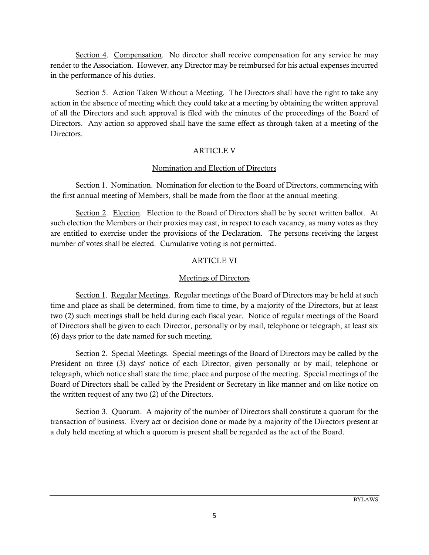Section 4. Compensation. No director shall receive compensation for any service he may render to the Association. However, any Director may be reimbursed for his actual expenses incurred in the performance of his duties.

Section 5. Action Taken Without a Meeting. The Directors shall have the right to take any action in the absence of meeting which they could take at a meeting by obtaining the written approval of all the Directors and such approval is filed with the minutes of the proceedings of the Board of Directors. Any action so approved shall have the same effect as through taken at a meeting of the Directors.

## ARTICLE V

## Nomination and Election of Directors

Section 1. Nomination. Nomination for election to the Board of Directors, commencing with the first annual meeting of Members, shall be made from the floor at the annual meeting.

Section 2. Election. Election to the Board of Directors shall be by secret written ballot. At such election the Members or their proxies may cast, in respect to each vacancy, as many votes as they are entitled to exercise under the provisions of the Declaration. The persons receiving the largest number of votes shall be elected. Cumulative voting is not permitted.

# ARTICLE VI

## Meetings of Directors

Section 1. Regular Meetings. Regular meetings of the Board of Directors may be held at such time and place as shall be determined, from time to time, by a majority of the Directors, but at least two (2) such meetings shall be held during each fiscal year. Notice of regular meetings of the Board of Directors shall be given to each Director, personally or by mail, telephone or telegraph, at least six (6) days prior to the date named for such meeting.

Section 2. Special Meetings. Special meetings of the Board of Directors may be called by the President on three (3) days' notice of each Director, given personally or by mail, telephone or telegraph, which notice shall state the time, place and purpose of the meeting. Special meetings of the Board of Directors shall be called by the President or Secretary in like manner and on like notice on the written request of any two (2) of the Directors.

Section 3. Quorum. A majority of the number of Directors shall constitute a quorum for the transaction of business. Every act or decision done or made by a majority of the Directors present at a duly held meeting at which a quorum is present shall be regarded as the act of the Board.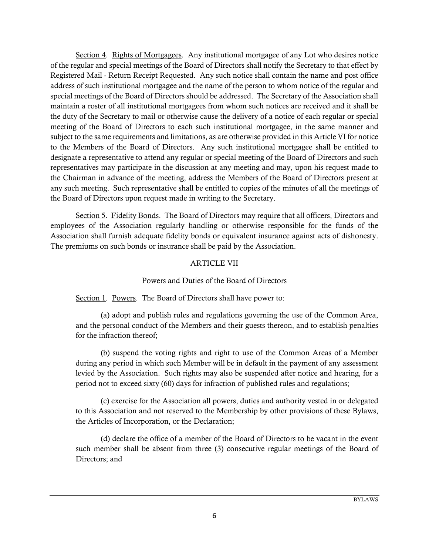Section 4. Rights of Mortgagees. Any institutional mortgagee of any Lot who desires notice of the regular and special meetings of the Board of Directors shall notify the Secretary to that effect by Registered Mail - Return Receipt Requested. Any such notice shall contain the name and post office address of such institutional mortgagee and the name of the person to whom notice of the regular and special meetings of the Board of Directors should be addressed. The Secretary of the Association shall maintain a roster of all institutional mortgagees from whom such notices are received and it shall be the duty of the Secretary to mail or otherwise cause the delivery of a notice of each regular or special meeting of the Board of Directors to each such institutional mortgagee, in the same manner and subject to the same requirements and limitations, as are otherwise provided in this Article VI for notice to the Members of the Board of Directors. Any such institutional mortgagee shall be entitled to designate a representative to attend any regular or special meeting of the Board of Directors and such representatives may participate in the discussion at any meeting and may, upon his request made to the Chairman in advance of the meeting, address the Members of the Board of Directors present at any such meeting. Such representative shall be entitled to copies of the minutes of all the meetings of the Board of Directors upon request made in writing to the Secretary.

Section 5. Fidelity Bonds. The Board of Directors may require that all officers, Directors and employees of the Association regularly handling or otherwise responsible for the funds of the Association shall furnish adequate fidelity bonds or equivalent insurance against acts of dishonesty. The premiums on such bonds or insurance shall be paid by the Association.

### ARTICLE VII

### Powers and Duties of the Board of Directors

### Section 1. Powers. The Board of Directors shall have power to:

(a) adopt and publish rules and regulations governing the use of the Common Area, and the personal conduct of the Members and their guests thereon, and to establish penalties for the infraction thereof;

(b) suspend the voting rights and right to use of the Common Areas of a Member during any period in which such Member will be in default in the payment of any assessment levied by the Association. Such rights may also be suspended after notice and hearing, for a period not to exceed sixty (60) days for infraction of published rules and regulations;

(c) exercise for the Association all powers, duties and authority vested in or delegated to this Association and not reserved to the Membership by other provisions of these Bylaws, the Articles of Incorporation, or the Declaration;

(d) declare the office of a member of the Board of Directors to be vacant in the event such member shall be absent from three (3) consecutive regular meetings of the Board of Directors; and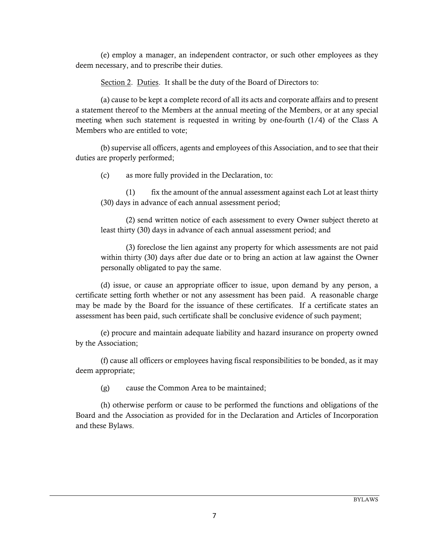(e) employ a manager, an independent contractor, or such other employees as they deem necessary, and to prescribe their duties.

Section 2. Duties. It shall be the duty of the Board of Directors to:

(a) cause to be kept a complete record of all its acts and corporate affairs and to present a statement thereof to the Members at the annual meeting of the Members, or at any special meeting when such statement is requested in writing by one-fourth  $(1/4)$  of the Class A Members who are entitled to vote;

(b) supervise all officers, agents and employees of this Association, and to see that their duties are properly performed;

(c) as more fully provided in the Declaration, to:

(1) fix the amount of the annual assessment against each Lot at least thirty (30) days in advance of each annual assessment period;

(2) send written notice of each assessment to every Owner subject thereto at least thirty (30) days in advance of each annual assessment period; and

(3) foreclose the lien against any property for which assessments are not paid within thirty (30) days after due date or to bring an action at law against the Owner personally obligated to pay the same.

(d) issue, or cause an appropriate officer to issue, upon demand by any person, a certificate setting forth whether or not any assessment has been paid. A reasonable charge may be made by the Board for the issuance of these certificates. If a certificate states an assessment has been paid, such certificate shall be conclusive evidence of such payment;

(e) procure and maintain adequate liability and hazard insurance on property owned by the Association;

(f) cause all officers or employees having fiscal responsibilities to be bonded, as it may deem appropriate;

(g) cause the Common Area to be maintained;

(h) otherwise perform or cause to be performed the functions and obligations of the Board and the Association as provided for in the Declaration and Articles of Incorporation and these Bylaws.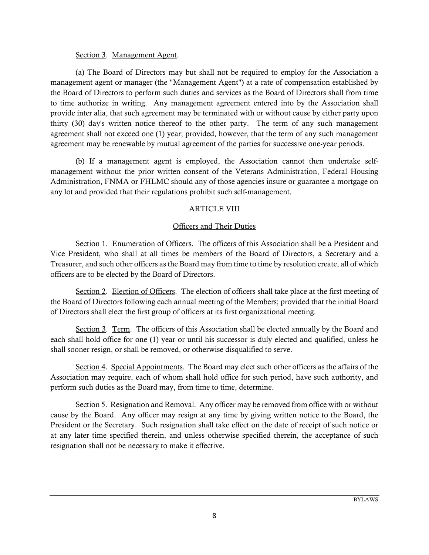### Section 3. Management Agent.

(a) The Board of Directors may but shall not be required to employ for the Association a management agent or manager (the "Management Agent") at a rate of compensation established by the Board of Directors to perform such duties and services as the Board of Directors shall from time to time authorize in writing. Any management agreement entered into by the Association shall provide inter alia, that such agreement may be terminated with or without cause by either party upon thirty (30) day's written notice thereof to the other party. The term of any such management agreement shall not exceed one (1) year; provided, however, that the term of any such management agreement may be renewable by mutual agreement of the parties for successive one-year periods.

(b) If a management agent is employed, the Association cannot then undertake selfmanagement without the prior written consent of the Veterans Administration, Federal Housing Administration, FNMA or FHLMC should any of those agencies insure or guarantee a mortgage on any lot and provided that their regulations prohibit such self-management.

## ARTICLE VIII

## Officers and Their Duties

Section 1. Enumeration of Officers. The officers of this Association shall be a President and Vice President, who shall at all times be members of the Board of Directors, a Secretary and a Treasurer, and such other officers as the Board may from time to time by resolution create, all of which officers are to be elected by the Board of Directors.

Section 2. Election of Officers. The election of officers shall take place at the first meeting of the Board of Directors following each annual meeting of the Members; provided that the initial Board of Directors shall elect the first group of officers at its first organizational meeting.

Section 3. Term. The officers of this Association shall be elected annually by the Board and each shall hold office for one (1) year or until his successor is duly elected and qualified, unless he shall sooner resign, or shall be removed, or otherwise disqualified to serve.

Section 4. Special Appointments. The Board may elect such other officers as the affairs of the Association may require, each of whom shall hold office for such period, have such authority, and perform such duties as the Board may, from time to time, determine.

Section 5. Resignation and Removal. Any officer may be removed from office with or without cause by the Board. Any officer may resign at any time by giving written notice to the Board, the President or the Secretary. Such resignation shall take effect on the date of receipt of such notice or at any later time specified therein, and unless otherwise specified therein, the acceptance of such resignation shall not be necessary to make it effective.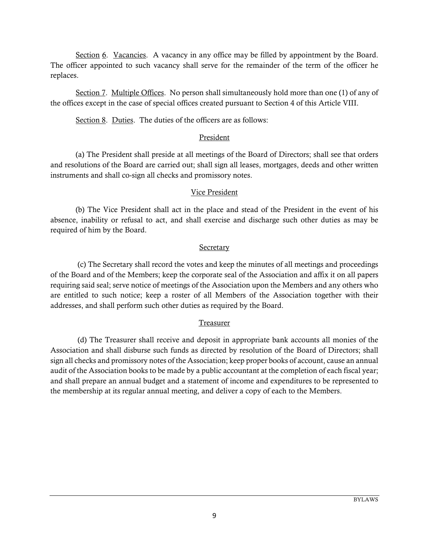Section 6. Vacancies. A vacancy in any office may be filled by appointment by the Board. The officer appointed to such vacancy shall serve for the remainder of the term of the officer he replaces.

Section 7. Multiple Offices. No person shall simultaneously hold more than one (1) of any of the offices except in the case of special offices created pursuant to Section 4 of this Article VIII.

Section 8. Duties. The duties of the officers are as follows:

### President

(a) The President shall preside at all meetings of the Board of Directors; shall see that orders and resolutions of the Board are carried out; shall sign all leases, mortgages, deeds and other written instruments and shall co-sign all checks and promissory notes.

## Vice President

(b) The Vice President shall act in the place and stead of the President in the event of his absence, inability or refusal to act, and shall exercise and discharge such other duties as may be required of him by the Board.

## Secretary

 (c) The Secretary shall record the votes and keep the minutes of all meetings and proceedings of the Board and of the Members; keep the corporate seal of the Association and affix it on all papers requiring said seal; serve notice of meetings of the Association upon the Members and any others who are entitled to such notice; keep a roster of all Members of the Association together with their addresses, and shall perform such other duties as required by the Board.

## Treasurer

 (d) The Treasurer shall receive and deposit in appropriate bank accounts all monies of the Association and shall disburse such funds as directed by resolution of the Board of Directors; shall sign all checks and promissory notes of the Association; keep proper books of account, cause an annual audit of the Association books to be made by a public accountant at the completion of each fiscal year; and shall prepare an annual budget and a statement of income and expenditures to be represented to the membership at its regular annual meeting, and deliver a copy of each to the Members.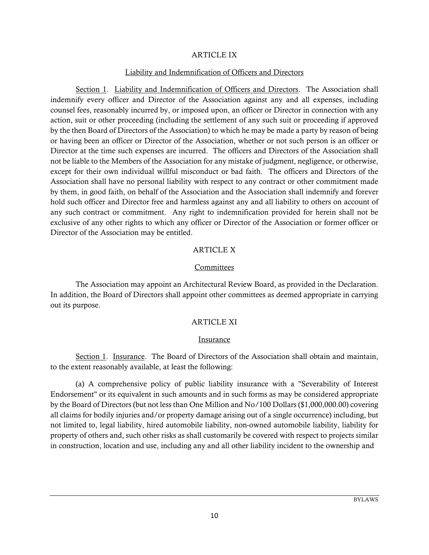#### ARTICLE IX

#### Liability and Indemnification of Officers and Directors

Section 1. Liability and Indemnification of Officers and Directors. The Association shall indemnify every officer and Director of the Association against any and all expenses, including counsel fees, reasonably incurred by, or imposed upon, an officer or Director in connection with any action, suit or other proceeding (including the settlement of any such suit or proceeding if approved by the then Board of Directors of the Association) to which he may be made a party by reason of being or having been an officer or Director of the Association, whether or not such person is an officer or Director at the time such expenses are incurred. The officers and Directors of the Association shall not be liable to the Members of the Association for any mistake of judgment, negligence, or otherwise, except for their own individual willful misconduct or bad faith. The officers and Directors of the Association shall have no personal liability with respect to any contract or other commitment made by them, in good faith, on behalf of the Association and the Association shall indemnify and forever hold such officer and Director free and harmless against any and all liability to others on account of any such contract or commitment. Any right to indemnification provided for herein shall not be exclusive of any other rights to which any officer or Director of the Association or former officer or Director of the Association may be entitled.

#### ARTICLE X

#### **Committees**

The Association may appoint an Architectural Review Board, as provided in the Declaration. In addition, the Board of Directors shall appoint other committees as deemed appropriate in carrying out its purpose.

### ARTICLE XI

#### Insurance

Section 1. Insurance. The Board of Directors of the Association shall obtain and maintain, to the extent reasonably available, at least the following:

(a) A comprehensive policy of public liability insurance with a "Severability of Interest Endorsement" or its equivalent in such amounts and in such forms as may be considered appropriate by the Board of Directors (but not less than One Million and No/100 Dollars (\$1,000,000.00) covering all claims for bodily injuries and/or property damage arising out of a single occurrence) including, but not limited to, legal liability, hired automobile liability, non-owned automobile liability, liability for property of others and, such other risks as shall customarily be covered with respect to projects similar in construction, location and use, including any and all other liability incident to the ownership and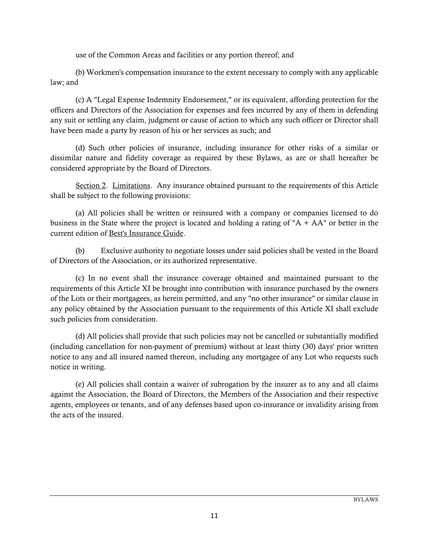use of the Common Areas and facilities or any portion thereof; and

(b) Workmen's compensation insurance to the extent necessary to comply with any applicable law; and

(c) A "Legal Expense Indemnity Endorsement," or its equivalent, affording protection for the officers and Directors of the Association for expenses and fees incurred by any of them in defending any suit or settling any claim, judgment or cause of action to which any such officer or Director shall have been made a party by reason of his or her services as such; and

(d) Such other policies of insurance, including insurance for other risks of a similar or dissimilar nature and fidelity coverage as required by these Bylaws, as are or shall hereafter be considered appropriate by the Board of Directors.

Section 2. Limitations. Any insurance obtained pursuant to the requirements of this Article shall be subject to the following provisions:

(a) All policies shall be written or reinsured with a company or companies licensed to do business in the State where the project is located and holding a rating of " $A + AA$ " or better in the current edition of Best's Insurance Guide.

(b) Exclusive authority to negotiate losses under said policies shall be vested in the Board of Directors of the Association, or its authorized representative.

(c) In no event shall the insurance coverage obtained and maintained pursuant to the requirements of this Article XI be brought into contribution with insurance purchased by the owners of the Lots or their mortgagees, as herein permitted, and any "no other insurance" or similar clause in any policy obtained by the Association pursuant to the requirements of this Article XI shall exclude such policies from consideration.

(d) All policies shall provide that such policies may not be cancelled or substantially modified (including cancellation for non-payment of premium) without at least thirty (30) days' prior written notice to any and all insured named thereon, including any mortgagee of any Lot who requests such notice in writing.

(e) All policies shall contain a waiver of subrogation by the insurer as to any and all claims against the Association, the Board of Directors, the Members of the Association and their respective agents, employees or tenants, and of any defenses based upon co-insurance or invalidity arising from the acts of the insured.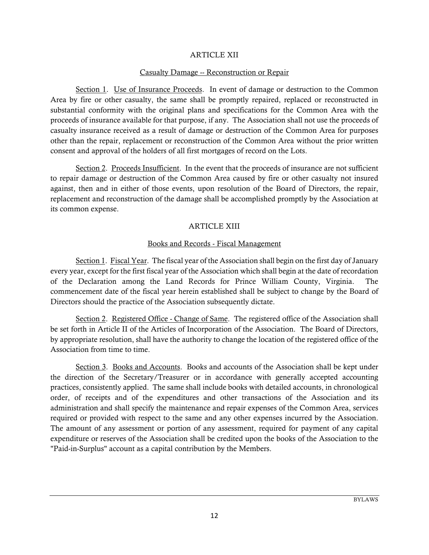#### ARTICLE XII

### Casualty Damage -- Reconstruction or Repair

Section 1. Use of Insurance Proceeds. In event of damage or destruction to the Common Area by fire or other casualty, the same shall be promptly repaired, replaced or reconstructed in substantial conformity with the original plans and specifications for the Common Area with the proceeds of insurance available for that purpose, if any. The Association shall not use the proceeds of casualty insurance received as a result of damage or destruction of the Common Area for purposes other than the repair, replacement or reconstruction of the Common Area without the prior written consent and approval of the holders of all first mortgages of record on the Lots.

Section 2. Proceeds Insufficient. In the event that the proceeds of insurance are not sufficient to repair damage or destruction of the Common Area caused by fire or other casualty not insured against, then and in either of those events, upon resolution of the Board of Directors, the repair, replacement and reconstruction of the damage shall be accomplished promptly by the Association at its common expense.

## ARTICLE XIII

## Books and Records - Fiscal Management

Section 1. Fiscal Year. The fiscal year of the Association shall begin on the first day of January every year, except for the first fiscal year of the Association which shall begin at the date of recordation of the Declaration among the Land Records for Prince William County, Virginia. The commencement date of the fiscal year herein established shall be subject to change by the Board of Directors should the practice of the Association subsequently dictate.

Section 2. Registered Office - Change of Same. The registered office of the Association shall be set forth in Article II of the Articles of Incorporation of the Association. The Board of Directors, by appropriate resolution, shall have the authority to change the location of the registered office of the Association from time to time.

Section 3. Books and Accounts. Books and accounts of the Association shall be kept under the direction of the Secretary/Treasurer or in accordance with generally accepted accounting practices, consistently applied. The same shall include books with detailed accounts, in chronological order, of receipts and of the expenditures and other transactions of the Association and its administration and shall specify the maintenance and repair expenses of the Common Area, services required or provided with respect to the same and any other expenses incurred by the Association. The amount of any assessment or portion of any assessment, required for payment of any capital expenditure or reserves of the Association shall be credited upon the books of the Association to the "Paid-in-Surplus" account as a capital contribution by the Members.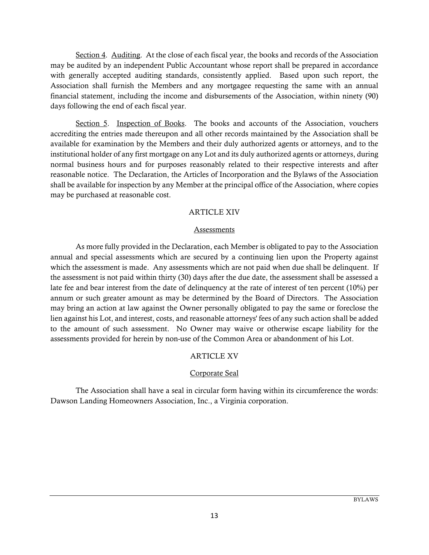Section 4. Auditing. At the close of each fiscal year, the books and records of the Association may be audited by an independent Public Accountant whose report shall be prepared in accordance with generally accepted auditing standards, consistently applied. Based upon such report, the Association shall furnish the Members and any mortgagee requesting the same with an annual financial statement, including the income and disbursements of the Association, within ninety (90) days following the end of each fiscal year.

Section 5. Inspection of Books. The books and accounts of the Association, vouchers accrediting the entries made thereupon and all other records maintained by the Association shall be available for examination by the Members and their duly authorized agents or attorneys, and to the institutional holder of any first mortgage on any Lot and its duly authorized agents or attorneys, during normal business hours and for purposes reasonably related to their respective interests and after reasonable notice. The Declaration, the Articles of Incorporation and the Bylaws of the Association shall be available for inspection by any Member at the principal office of the Association, where copies may be purchased at reasonable cost.

### ARTICLE XIV

### **Assessments**

As more fully provided in the Declaration, each Member is obligated to pay to the Association annual and special assessments which are secured by a continuing lien upon the Property against which the assessment is made. Any assessments which are not paid when due shall be delinquent. If the assessment is not paid within thirty (30) days after the due date, the assessment shall be assessed a late fee and bear interest from the date of delinquency at the rate of interest of ten percent (10%) per annum or such greater amount as may be determined by the Board of Directors. The Association may bring an action at law against the Owner personally obligated to pay the same or foreclose the lien against his Lot, and interest, costs, and reasonable attorneys' fees of any such action shall be added to the amount of such assessment. No Owner may waive or otherwise escape liability for the assessments provided for herein by non-use of the Common Area or abandonment of his Lot.

## **ARTICLE XV**

## Corporate Seal

The Association shall have a seal in circular form having within its circumference the words: Dawson Landing Homeowners Association, Inc., a Virginia corporation.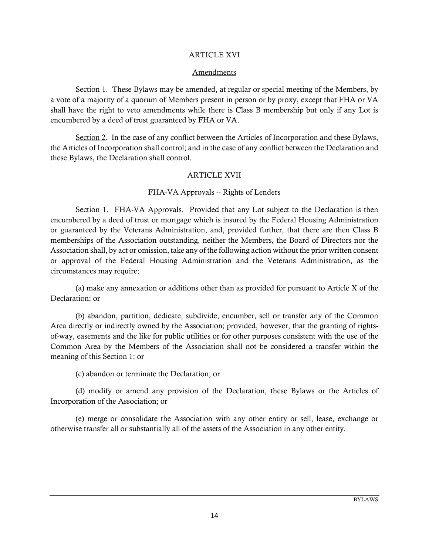### ARTICLE XVI

### Amendments

Section 1. These Bylaws may be amended, at regular or special meeting of the Members, by a vote of a majority of a quorum of Members present in person or by proxy, except that FHA or VA shall have the right to veto amendments while there is Class B membership but only if any Lot is encumbered by a deed of trust guaranteed by FHA or VA.

Section 2. In the case of any conflict between the Articles of Incorporation and these Bylaws, the Articles of Incorporation shall control; and in the case of any conflict between the Declaration and these Bylaws, the Declaration shall control.

## ARTICLE XVII

## FHA-VA Approvals -- Rights of Lenders

Section 1. FHA-VA Approvals. Provided that any Lot subject to the Declaration is then encumbered by a deed of trust or mortgage which is insured by the Federal Housing Administration or guaranteed by the Veterans Administration, and, provided further, that there are then Class B memberships of the Association outstanding, neither the Members, the Board of Directors nor the Association shall, by act or omission, take any of the following action without the prior written consent or approval of the Federal Housing Administration and the Veterans Administration, as the circumstances may require:

(a) make any annexation or additions other than as provided for pursuant to Article X of the Declaration; or

(b) abandon, partition, dedicate, subdivide, encumber, sell or transfer any of the Common Area directly or indirectly owned by the Association; provided, however, that the granting of rightsof-way, easements and the like for public utilities or for other purposes consistent with the use of the Common Area by the Members of the Association shall not be considered a transfer within the meaning of this Section 1; or

(c) abandon or terminate the Declaration; or

(d) modify or amend any provision of the Declaration, these Bylaws or the Articles of Incorporation of the Association; or

(e) merge or consolidate the Association with any other entity or sell, lease, exchange or otherwise transfer all or substantially all of the assets of the Association in any other entity.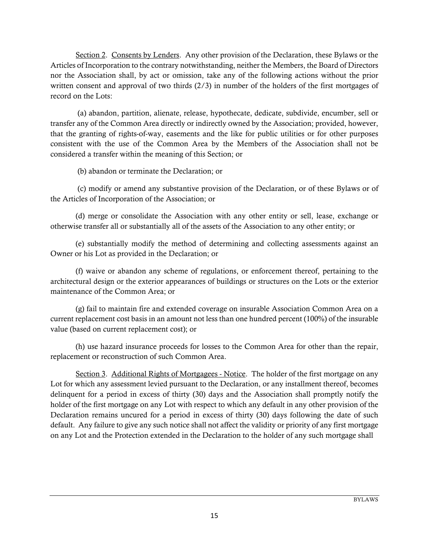Section 2. Consents by Lenders. Any other provision of the Declaration, these Bylaws or the Articles of Incorporation to the contrary notwithstanding, neither the Members, the Board of Directors nor the Association shall, by act or omission, take any of the following actions without the prior written consent and approval of two thirds  $(2/3)$  in number of the holders of the first mortgages of record on the Lots:

 (a) abandon, partition, alienate, release, hypothecate, dedicate, subdivide, encumber, sell or transfer any of the Common Area directly or indirectly owned by the Association; provided, however, that the granting of rights-of-way, easements and the like for public utilities or for other purposes consistent with the use of the Common Area by the Members of the Association shall not be considered a transfer within the meaning of this Section; or

(b) abandon or terminate the Declaration; or

 (c) modify or amend any substantive provision of the Declaration, or of these Bylaws or of the Articles of Incorporation of the Association; or

(d) merge or consolidate the Association with any other entity or sell, lease, exchange or otherwise transfer all or substantially all of the assets of the Association to any other entity; or

(e) substantially modify the method of determining and collecting assessments against an Owner or his Lot as provided in the Declaration; or

(f) waive or abandon any scheme of regulations, or enforcement thereof, pertaining to the architectural design or the exterior appearances of buildings or structures on the Lots or the exterior maintenance of the Common Area; or

(g) fail to maintain fire and extended coverage on insurable Association Common Area on a current replacement cost basis in an amount not less than one hundred percent (100%) of the insurable value (based on current replacement cost); or

(h) use hazard insurance proceeds for losses to the Common Area for other than the repair, replacement or reconstruction of such Common Area.

Section 3. Additional Rights of Mortgagees - Notice. The holder of the first mortgage on any Lot for which any assessment levied pursuant to the Declaration, or any installment thereof, becomes delinquent for a period in excess of thirty (30) days and the Association shall promptly notify the holder of the first mortgage on any Lot with respect to which any default in any other provision of the Declaration remains uncured for a period in excess of thirty (30) days following the date of such default. Any failure to give any such notice shall not affect the validity or priority of any first mortgage on any Lot and the Protection extended in the Declaration to the holder of any such mortgage shall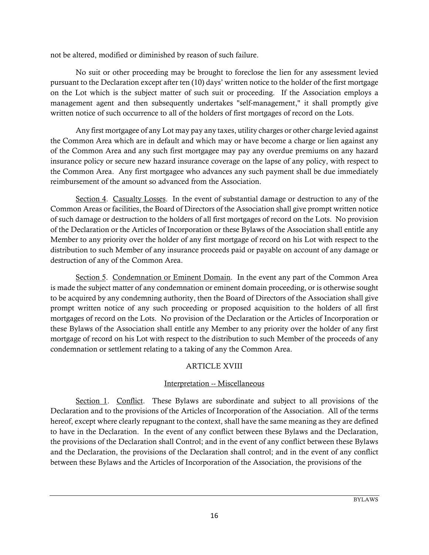not be altered, modified or diminished by reason of such failure.

No suit or other proceeding may be brought to foreclose the lien for any assessment levied pursuant to the Declaration except after ten (10) days' written notice to the holder of the first mortgage on the Lot which is the subject matter of such suit or proceeding. If the Association employs a management agent and then subsequently undertakes "self-management," it shall promptly give written notice of such occurrence to all of the holders of first mortgages of record on the Lots.

Any first mortgagee of any Lot may pay any taxes, utility charges or other charge levied against the Common Area which are in default and which may or have become a charge or lien against any of the Common Area and any such first mortgagee may pay any overdue premiums on any hazard insurance policy or secure new hazard insurance coverage on the lapse of any policy, with respect to the Common Area. Any first mortgagee who advances any such payment shall be due immediately reimbursement of the amount so advanced from the Association.

Section 4. Casualty Losses. In the event of substantial damage or destruction to any of the Common Areas or facilities, the Board of Directors of the Association shall give prompt written notice of such damage or destruction to the holders of all first mortgages of record on the Lots. No provision of the Declaration or the Articles of Incorporation or these Bylaws of the Association shall entitle any Member to any priority over the holder of any first mortgage of record on his Lot with respect to the distribution to such Member of any insurance proceeds paid or payable on account of any damage or destruction of any of the Common Area.

Section 5. Condemnation or Eminent Domain. In the event any part of the Common Area is made the subject matter of any condemnation or eminent domain proceeding, or is otherwise sought to be acquired by any condemning authority, then the Board of Directors of the Association shall give prompt written notice of any such proceeding or proposed acquisition to the holders of all first mortgages of record on the Lots. No provision of the Declaration or the Articles of Incorporation or these Bylaws of the Association shall entitle any Member to any priority over the holder of any first mortgage of record on his Lot with respect to the distribution to such Member of the proceeds of any condemnation or settlement relating to a taking of any the Common Area.

# ARTICLE XVIII

# Interpretation -- Miscellaneous

Section 1. Conflict. These Bylaws are subordinate and subject to all provisions of the Declaration and to the provisions of the Articles of Incorporation of the Association. All of the terms hereof, except where clearly repugnant to the context, shall have the same meaning as they are defined to have in the Declaration. In the event of any conflict between these Bylaws and the Declaration, the provisions of the Declaration shall Control; and in the event of any conflict between these Bylaws and the Declaration, the provisions of the Declaration shall control; and in the event of any conflict between these Bylaws and the Articles of Incorporation of the Association, the provisions of the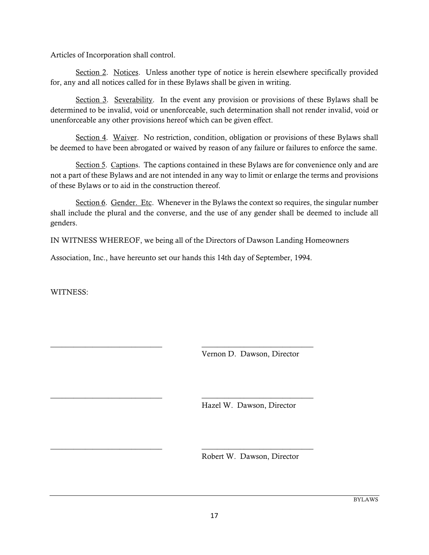Articles of Incorporation shall control.

Section 2. Notices. Unless another type of notice is herein elsewhere specifically provided for, any and all notices called for in these Bylaws shall be given in writing.

Section 3. Severability. In the event any provision or provisions of these Bylaws shall be determined to be invalid, void or unenforceable, such determination shall not render invalid, void or unenforceable any other provisions hereof which can be given effect.

Section 4. Waiver. No restriction, condition, obligation or provisions of these Bylaws shall be deemed to have been abrogated or waived by reason of any failure or failures to enforce the same.

Section 5. Captions. The captions contained in these Bylaws are for convenience only and are not a part of these Bylaws and are not intended in any way to limit or enlarge the terms and provisions of these Bylaws or to aid in the construction thereof.

Section 6. Gender. Etc. Whenever in the Bylaws the context so requires, the singular number shall include the plural and the converse, and the use of any gender shall be deemed to include all genders.

IN WITNESS WHEREOF, we being all of the Directors of Dawson Landing Homeowners

Association, Inc., have hereunto set our hands this 14th day of September, 1994.

\_\_\_\_\_\_\_\_\_\_\_\_\_\_\_\_\_\_\_\_\_\_\_\_\_\_\_\_\_ \_\_\_\_\_\_\_\_\_\_\_\_\_\_\_\_\_\_\_\_\_\_\_\_\_\_\_\_\_

\_\_\_\_\_\_\_\_\_\_\_\_\_\_\_\_\_\_\_\_\_\_\_\_\_\_\_\_\_ \_\_\_\_\_\_\_\_\_\_\_\_\_\_\_\_\_\_\_\_\_\_\_\_\_\_\_\_\_

\_\_\_\_\_\_\_\_\_\_\_\_\_\_\_\_\_\_\_\_\_\_\_\_\_\_\_\_\_ \_\_\_\_\_\_\_\_\_\_\_\_\_\_\_\_\_\_\_\_\_\_\_\_\_\_\_\_\_

WITNESS:

Vernon D. Dawson, Director

Hazel W. Dawson, Director

Robert W. Dawson, Director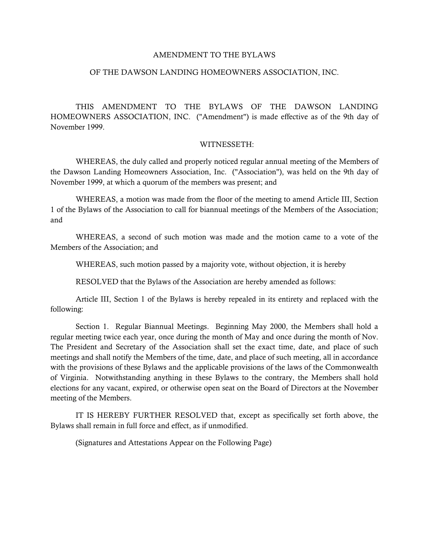#### AMENDMENT TO THE BYLAWS

#### OF THE DAWSON LANDING HOMEOWNERS ASSOCIATION, INC.

THIS AMENDMENT TO THE BYLAWS OF THE DAWSON LANDING HOMEOWNERS ASSOCIATION, INC. ("Amendment") is made effective as of the 9th day of November 1999.

#### WITNESSETH:

WHEREAS, the duly called and properly noticed regular annual meeting of the Members of the Dawson Landing Homeowners Association, Inc. ("Association"), was held on the 9th day of November 1999, at which a quorum of the members was present; and

WHEREAS, a motion was made from the floor of the meeting to amend Article III, Section 1 of the Bylaws of the Association to call for biannual meetings of the Members of the Association; and

WHEREAS, a second of such motion was made and the motion came to a vote of the Members of the Association; and

WHEREAS, such motion passed by a majority vote, without objection, it is hereby

RESOLVED that the Bylaws of the Association are hereby amended as follows:

Article III, Section 1 of the Bylaws is hereby repealed in its entirety and replaced with the following:

Section 1. Regular Biannual Meetings. Beginning May 2000, the Members shall hold a regular meeting twice each year, once during the month of May and once during the month of Nov. The President and Secretary of the Association shall set the exact time, date, and place of such meetings and shall notify the Members of the time, date, and place of such meeting, all in accordance with the provisions of these Bylaws and the applicable provisions of the laws of the Commonwealth of Virginia. Notwithstanding anything in these Bylaws to the contrary, the Members shall hold elections for any vacant, expired, or otherwise open seat on the Board of Directors at the November meeting of the Members.

IT IS HEREBY FURTHER RESOLVED that, except as specifically set forth above, the Bylaws shall remain in full force and effect, as if unmodified.

(Signatures and Attestations Appear on the Following Page)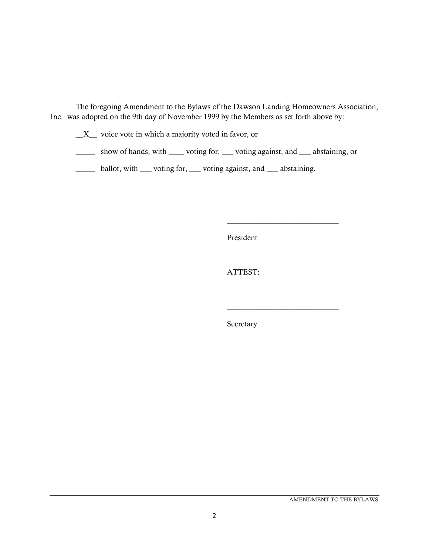The foregoing Amendment to the Bylaws of the Dawson Landing Homeowners Association, Inc. was adopted on the 9th day of November 1999 by the Members as set forth above by:

- \_\_X\_\_ voice vote in which a majority voted in favor, or
- \_\_\_\_\_ show of hands, with \_\_\_\_ voting for, \_\_\_ voting against, and \_\_\_ abstaining, or
- \_\_\_\_\_ ballot, with \_\_\_ voting for, \_\_\_ voting against, and \_\_\_ abstaining.

President

\_\_\_\_\_\_\_\_\_\_\_\_\_\_\_\_\_\_\_\_\_\_\_\_\_\_\_\_\_

\_\_\_\_\_\_\_\_\_\_\_\_\_\_\_\_\_\_\_\_\_\_\_\_\_\_\_\_\_

ATTEST:

Secretary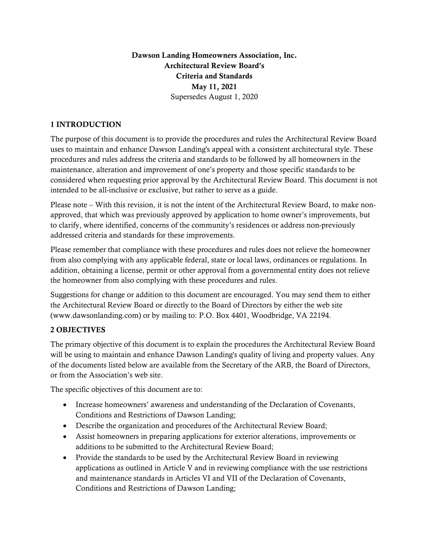Dawson Landing Homeowners Association, Inc. Architectural Review Board's Criteria and Standards May 11, 2021 Supersedes August 1, 2020

## 1 INTRODUCTION

The purpose of this document is to provide the procedures and rules the Architectural Review Board uses to maintain and enhance Dawson Landing's appeal with a consistent architectural style. These procedures and rules address the criteria and standards to be followed by all homeowners in the maintenance, alteration and improvement of one's property and those specific standards to be considered when requesting prior approval by the Architectural Review Board. This document is not intended to be all-inclusive or exclusive, but rather to serve as a guide.

Please note – With this revision, it is not the intent of the Architectural Review Board, to make nonapproved, that which was previously approved by application to home owner's improvements, but to clarify, where identified, concerns of the community's residences or address non-previously addressed criteria and standards for these improvements.

Please remember that compliance with these procedures and rules does not relieve the homeowner from also complying with any applicable federal, state or local laws, ordinances or regulations. In addition, obtaining a license, permit or other approval from a governmental entity does not relieve the homeowner from also complying with these procedures and rules.

Suggestions for change or addition to this document are encouraged. You may send them to either the Architectural Review Board or directly to the Board of Directors by either the web site (www.dawsonlanding.com) or by mailing to: P.O. Box 4401, Woodbridge, VA 22194.

# 2 OBJECTIVES

The primary objective of this document is to explain the procedures the Architectural Review Board will be using to maintain and enhance Dawson Landing's quality of living and property values. Any of the documents listed below are available from the Secretary of the ARB, the Board of Directors, or from the Association's web site.

The specific objectives of this document are to:

- Increase homeowners' awareness and understanding of the Declaration of Covenants, Conditions and Restrictions of Dawson Landing;
- Describe the organization and procedures of the Architectural Review Board;
- Assist homeowners in preparing applications for exterior alterations, improvements or additions to be submitted to the Architectural Review Board;
- Provide the standards to be used by the Architectural Review Board in reviewing applications as outlined in Article V and in reviewing compliance with the use restrictions and maintenance standards in Articles VI and VII of the Declaration of Covenants, Conditions and Restrictions of Dawson Landing;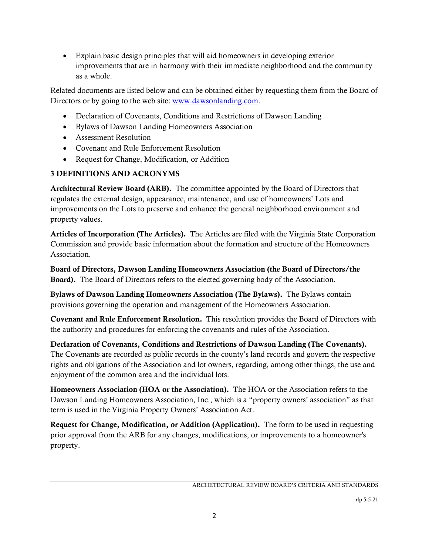Explain basic design principles that will aid homeowners in developing exterior improvements that are in harmony with their immediate neighborhood and the community as a whole.

Related documents are listed below and can be obtained either by requesting them from the Board of Directors or by going to the web site: www.dawsonlanding.com.

- Declaration of Covenants, Conditions and Restrictions of Dawson Landing
- Bylaws of Dawson Landing Homeowners Association
- Assessment Resolution
- Covenant and Rule Enforcement Resolution
- Request for Change, Modification, or Addition

# 3 DEFINITIONS AND ACRONYMS

Architectural Review Board (ARB). The committee appointed by the Board of Directors that regulates the external design, appearance, maintenance, and use of homeowners' Lots and improvements on the Lots to preserve and enhance the general neighborhood environment and property values.

Articles of Incorporation (The Articles). The Articles are filed with the Virginia State Corporation Commission and provide basic information about the formation and structure of the Homeowners Association.

Board of Directors, Dawson Landing Homeowners Association (the Board of Directors/the Board). The Board of Directors refers to the elected governing body of the Association.

Bylaws of Dawson Landing Homeowners Association (The Bylaws). The Bylaws contain provisions governing the operation and management of the Homeowners Association.

Covenant and Rule Enforcement Resolution. This resolution provides the Board of Directors with the authority and procedures for enforcing the covenants and rules of the Association.

Declaration of Covenants, Conditions and Restrictions of Dawson Landing (The Covenants). The Covenants are recorded as public records in the county's land records and govern the respective rights and obligations of the Association and lot owners, regarding, among other things, the use and enjoyment of the common area and the individual lots.

Homeowners Association (HOA or the Association). The HOA or the Association refers to the Dawson Landing Homeowners Association, Inc., which is a "property owners' association" as that term is used in the Virginia Property Owners' Association Act.

Request for Change, Modification, or Addition (Application). The form to be used in requesting prior approval from the ARB for any changes, modifications, or improvements to a homeowner's property.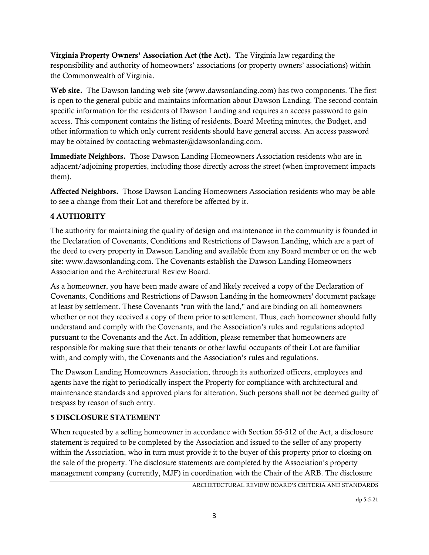Virginia Property Owners' Association Act (the Act). The Virginia law regarding the responsibility and authority of homeowners' associations (or property owners' associations) within the Commonwealth of Virginia.

Web site. The Dawson landing web site (www.dawsonlanding.com) has two components. The first is open to the general public and maintains information about Dawson Landing. The second contain specific information for the residents of Dawson Landing and requires an access password to gain access. This component contains the listing of residents, Board Meeting minutes, the Budget, and other information to which only current residents should have general access. An access password may be obtained by contacting webmaster@dawsonlanding.com.

Immediate Neighbors. Those Dawson Landing Homeowners Association residents who are in adjacent/adjoining properties, including those directly across the street (when improvement impacts them).

Affected Neighbors. Those Dawson Landing Homeowners Association residents who may be able to see a change from their Lot and therefore be affected by it.

# 4 AUTHORITY

The authority for maintaining the quality of design and maintenance in the community is founded in the Declaration of Covenants, Conditions and Restrictions of Dawson Landing, which are a part of the deed to every property in Dawson Landing and available from any Board member or on the web site: www.dawsonlanding.com. The Covenants establish the Dawson Landing Homeowners Association and the Architectural Review Board.

As a homeowner, you have been made aware of and likely received a copy of the Declaration of Covenants, Conditions and Restrictions of Dawson Landing in the homeowners' document package at least by settlement. These Covenants "run with the land," and are binding on all homeowners whether or not they received a copy of them prior to settlement. Thus, each homeowner should fully understand and comply with the Covenants, and the Association's rules and regulations adopted pursuant to the Covenants and the Act. In addition, please remember that homeowners are responsible for making sure that their tenants or other lawful occupants of their Lot are familiar with, and comply with, the Covenants and the Association's rules and regulations.

The Dawson Landing Homeowners Association, through its authorized officers, employees and agents have the right to periodically inspect the Property for compliance with architectural and maintenance standards and approved plans for alteration. Such persons shall not be deemed guilty of trespass by reason of such entry.

# 5 DISCLOSURE STATEMENT

When requested by a selling homeowner in accordance with Section 55-512 of the Act, a disclosure statement is required to be completed by the Association and issued to the seller of any property within the Association, who in turn must provide it to the buyer of this property prior to closing on the sale of the property. The disclosure statements are completed by the Association's property management company (currently, MJF) in coordination with the Chair of the ARB. The disclosure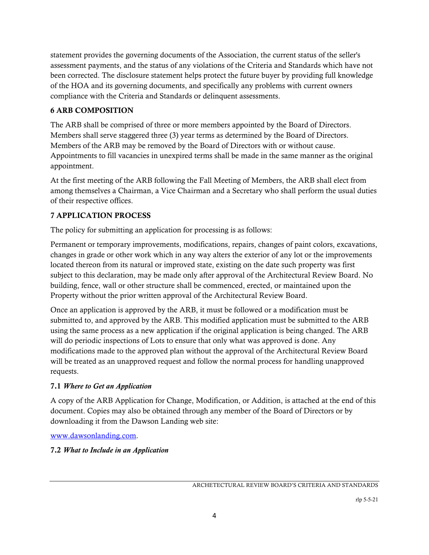statement provides the governing documents of the Association, the current status of the seller's assessment payments, and the status of any violations of the Criteria and Standards which have not been corrected. The disclosure statement helps protect the future buyer by providing full knowledge of the HOA and its governing documents, and specifically any problems with current owners compliance with the Criteria and Standards or delinquent assessments.

# 6 ARB COMPOSITION

The ARB shall be comprised of three or more members appointed by the Board of Directors. Members shall serve staggered three (3) year terms as determined by the Board of Directors. Members of the ARB may be removed by the Board of Directors with or without cause. Appointments to fill vacancies in unexpired terms shall be made in the same manner as the original appointment.

At the first meeting of the ARB following the Fall Meeting of Members, the ARB shall elect from among themselves a Chairman, a Vice Chairman and a Secretary who shall perform the usual duties of their respective offices.

# 7 APPLICATION PROCESS

The policy for submitting an application for processing is as follows:

Permanent or temporary improvements, modifications, repairs, changes of paint colors, excavations, changes in grade or other work which in any way alters the exterior of any lot or the improvements located thereon from its natural or improved state, existing on the date such property was first subject to this declaration, may be made only after approval of the Architectural Review Board. No building, fence, wall or other structure shall be commenced, erected, or maintained upon the Property without the prior written approval of the Architectural Review Board.

Once an application is approved by the ARB, it must be followed or a modification must be submitted to, and approved by the ARB. This modified application must be submitted to the ARB using the same process as a new application if the original application is being changed. The ARB will do periodic inspections of Lots to ensure that only what was approved is done. Any modifications made to the approved plan without the approval of the Architectural Review Board will be treated as an unapproved request and follow the normal process for handling unapproved requests.

# 7.1 *Where to Get an Application*

A copy of the ARB Application for Change, Modification, or Addition, is attached at the end of this document. Copies may also be obtained through any member of the Board of Directors or by downloading it from the Dawson Landing web site:

www.dawsonlanding.com.

# 7.2 *What to Include in an Application*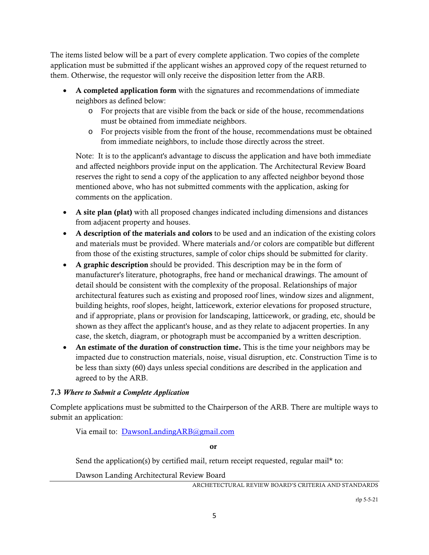The items listed below will be a part of every complete application. Two copies of the complete application must be submitted if the applicant wishes an approved copy of the request returned to them. Otherwise, the requestor will only receive the disposition letter from the ARB.

- A completed application form with the signatures and recommendations of immediate neighbors as defined below:
	- o For projects that are visible from the back or side of the house, recommendations must be obtained from immediate neighbors.
	- o For projects visible from the front of the house, recommendations must be obtained from immediate neighbors, to include those directly across the street.

Note: It is to the applicant's advantage to discuss the application and have both immediate and affected neighbors provide input on the application. The Architectural Review Board reserves the right to send a copy of the application to any affected neighbor beyond those mentioned above, who has not submitted comments with the application, asking for comments on the application.

- A site plan (plat) with all proposed changes indicated including dimensions and distances from adjacent property and houses.
- A description of the materials and colors to be used and an indication of the existing colors and materials must be provided. Where materials and/or colors are compatible but different from those of the existing structures, sample of color chips should be submitted for clarity.
- A graphic description should be provided. This description may be in the form of manufacturer's literature, photographs, free hand or mechanical drawings. The amount of detail should be consistent with the complexity of the proposal. Relationships of major architectural features such as existing and proposed roof lines, window sizes and alignment, building heights, roof slopes, height, latticework, exterior elevations for proposed structure, and if appropriate, plans or provision for landscaping, latticework, or grading, etc, should be shown as they affect the applicant's house, and as they relate to adjacent properties. In any case, the sketch, diagram, or photograph must be accompanied by a written description.
- An estimate of the duration of construction time. This is the time your neighbors may be impacted due to construction materials, noise, visual disruption, etc. Construction Time is to be less than sixty (60) days unless special conditions are described in the application and agreed to by the ARB.

# 7.3 *Where to Submit a Complete Application*

Complete applications must be submitted to the Chairperson of the ARB. There are multiple ways to submit an application:

Via email to: DawsonLandingARB@gmail.com

or

Send the application(s) by certified mail, return receipt requested, regular mail\* to:

Dawson Landing Architectural Review Board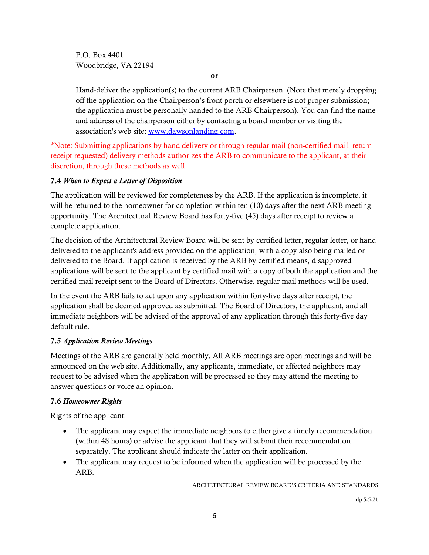P.O. Box 4401 Woodbridge, VA 22194

or

Hand-deliver the application(s) to the current ARB Chairperson. (Note that merely dropping off the application on the Chairperson's front porch or elsewhere is not proper submission; the application must be personally handed to the ARB Chairperson). You can find the name and address of the chairperson either by contacting a board member or visiting the association's web site: www.dawsonlanding.com.

\*Note: Submitting applications by hand delivery or through regular mail (non-certified mail, return receipt requested) delivery methods authorizes the ARB to communicate to the applicant, at their discretion, through these methods as well.

# 7.4 *When to Expect a Letter of Disposition*

The application will be reviewed for completeness by the ARB. If the application is incomplete, it will be returned to the homeowner for completion within ten (10) days after the next ARB meeting opportunity. The Architectural Review Board has forty-five (45) days after receipt to review a complete application.

The decision of the Architectural Review Board will be sent by certified letter, regular letter, or hand delivered to the applicant's address provided on the application, with a copy also being mailed or delivered to the Board. If application is received by the ARB by certified means, disapproved applications will be sent to the applicant by certified mail with a copy of both the application and the certified mail receipt sent to the Board of Directors. Otherwise, regular mail methods will be used.

In the event the ARB fails to act upon any application within forty-five days after receipt, the application shall be deemed approved as submitted. The Board of Directors, the applicant, and all immediate neighbors will be advised of the approval of any application through this forty-five day default rule.

# 7.5 *Application Review Meetings*

Meetings of the ARB are generally held monthly. All ARB meetings are open meetings and will be announced on the web site. Additionally, any applicants, immediate, or affected neighbors may request to be advised when the application will be processed so they may attend the meeting to answer questions or voice an opinion.

# 7.6 *Homeowner Rights*

Rights of the applicant:

- The applicant may expect the immediate neighbors to either give a timely recommendation (within 48 hours) or advise the applicant that they will submit their recommendation separately. The applicant should indicate the latter on their application.
- The applicant may request to be informed when the application will be processed by the ARB.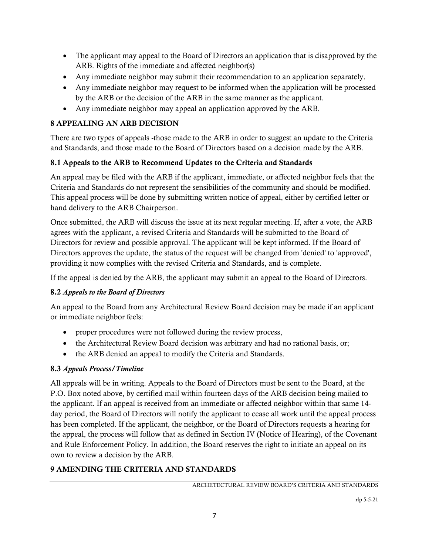- The applicant may appeal to the Board of Directors an application that is disapproved by the ARB. Rights of the immediate and affected neighbor(s)
- Any immediate neighbor may submit their recommendation to an application separately.
- Any immediate neighbor may request to be informed when the application will be processed by the ARB or the decision of the ARB in the same manner as the applicant.
- Any immediate neighbor may appeal an application approved by the ARB.

# 8 APPEALING AN ARB DECISION

There are two types of appeals -those made to the ARB in order to suggest an update to the Criteria and Standards, and those made to the Board of Directors based on a decision made by the ARB.

# 8.1 Appeals to the ARB to Recommend Updates to the Criteria and Standards

An appeal may be filed with the ARB if the applicant, immediate, or affected neighbor feels that the Criteria and Standards do not represent the sensibilities of the community and should be modified. This appeal process will be done by submitting written notice of appeal, either by certified letter or hand delivery to the ARB Chairperson.

Once submitted, the ARB will discuss the issue at its next regular meeting. If, after a vote, the ARB agrees with the applicant, a revised Criteria and Standards will be submitted to the Board of Directors for review and possible approval. The applicant will be kept informed. If the Board of Directors approves the update, the status of the request will be changed from 'denied' to 'approved', providing it now complies with the revised Criteria and Standards, and is complete.

If the appeal is denied by the ARB, the applicant may submit an appeal to the Board of Directors.

# 8.2 *Appeals to the Board of Directors*

An appeal to the Board from any Architectural Review Board decision may be made if an applicant or immediate neighbor feels:

- proper procedures were not followed during the review process,
- the Architectural Review Board decision was arbitrary and had no rational basis, or;
- the ARB denied an appeal to modify the Criteria and Standards.

# 8.3 *Appeals Process/Timeline*

All appeals will be in writing. Appeals to the Board of Directors must be sent to the Board, at the P.O. Box noted above, by certified mail within fourteen days of the ARB decision being mailed to the applicant. If an appeal is received from an immediate or affected neighbor within that same 14 day period, the Board of Directors will notify the applicant to cease all work until the appeal process has been completed. If the applicant, the neighbor, or the Board of Directors requests a hearing for the appeal, the process will follow that as defined in Section IV (Notice of Hearing), of the Covenant and Rule Enforcement Policy. In addition, the Board reserves the right to initiate an appeal on its own to review a decision by the ARB.

# 9 AMENDING THE CRITERIA AND STANDARDS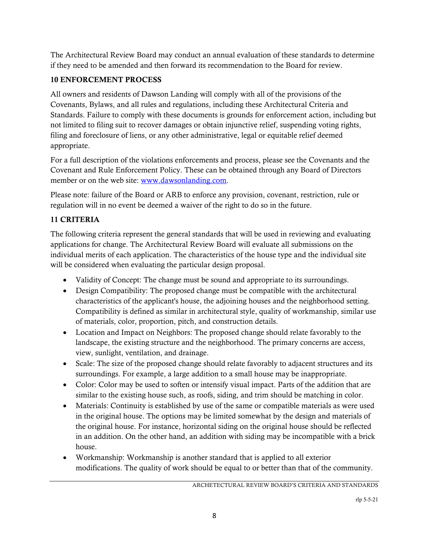The Architectural Review Board may conduct an annual evaluation of these standards to determine if they need to be amended and then forward its recommendation to the Board for review.

# 10 ENFORCEMENT PROCESS

All owners and residents of Dawson Landing will comply with all of the provisions of the Covenants, Bylaws, and all rules and regulations, including these Architectural Criteria and Standards. Failure to comply with these documents is grounds for enforcement action, including but not limited to filing suit to recover damages or obtain injunctive relief, suspending voting rights, filing and foreclosure of liens, or any other administrative, legal or equitable relief deemed appropriate.

For a full description of the violations enforcements and process, please see the Covenants and the Covenant and Rule Enforcement Policy. These can be obtained through any Board of Directors member or on the web site: www.dawsonlanding.com.

Please note: failure of the Board or ARB to enforce any provision, covenant, restriction, rule or regulation will in no event be deemed a waiver of the right to do so in the future.

# 11 CRITERIA

The following criteria represent the general standards that will be used in reviewing and evaluating applications for change. The Architectural Review Board will evaluate all submissions on the individual merits of each application. The characteristics of the house type and the individual site will be considered when evaluating the particular design proposal.

- Validity of Concept: The change must be sound and appropriate to its surroundings.
- Design Compatibility: The proposed change must be compatible with the architectural characteristics of the applicant's house, the adjoining houses and the neighborhood setting. Compatibility is defined as similar in architectural style, quality of workmanship, similar use of materials, color, proportion, pitch, and construction details.
- Location and Impact on Neighbors: The proposed change should relate favorably to the landscape, the existing structure and the neighborhood. The primary concerns are access, view, sunlight, ventilation, and drainage.
- Scale: The size of the proposed change should relate favorably to adjacent structures and its surroundings. For example, a large addition to a small house may be inappropriate.
- Color: Color may be used to soften or intensify visual impact. Parts of the addition that are similar to the existing house such, as roofs, siding, and trim should be matching in color.
- Materials: Continuity is established by use of the same or compatible materials as were used in the original house. The options may be limited somewhat by the design and materials of the original house. For instance, horizontal siding on the original house should be reflected in an addition. On the other hand, an addition with siding may be incompatible with a brick house.
- Workmanship: Workmanship is another standard that is applied to all exterior modifications. The quality of work should be equal to or better than that of the community.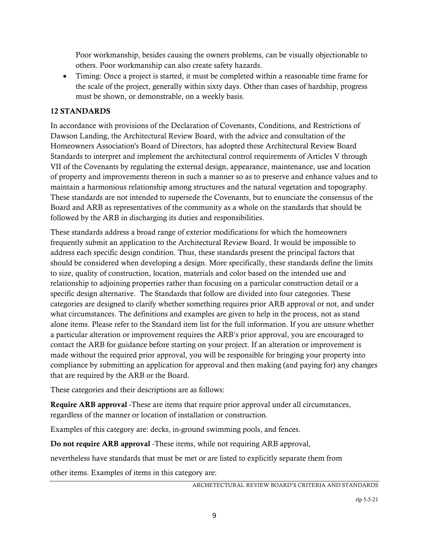Poor workmanship, besides causing the owners problems, can be visually objectionable to others. Poor workmanship can also create safety hazards.

 Timing: Once a project is started, it must be completed within a reasonable time frame for the scale of the project, generally within sixty days. Other than cases of hardship, progress must be shown, or demonstrable, on a weekly basis.

## 12 STANDARDS

In accordance with provisions of the Declaration of Covenants, Conditions, and Restrictions of Dawson Landing, the Architectural Review Board, with the advice and consultation of the Homeowners Association's Board of Directors, has adopted these Architectural Review Board Standards to interpret and implement the architectural control requirements of Articles V through VII of the Covenants by regulating the external design, appearance, maintenance, use and location of property and improvements thereon in such a manner so as to preserve and enhance values and to maintain a harmonious relationship among structures and the natural vegetation and topography. These standards are not intended to supersede the Covenants, but to enunciate the consensus of the Board and ARB as representatives of the community as a whole on the standards that should be followed by the ARB in discharging its duties and responsibilities.

These standards address a broad range of exterior modifications for which the homeowners frequently submit an application to the Architectural Review Board. It would be impossible to address each specific design condition. Thus, these standards present the principal factors that should be considered when developing a design. More specifically, these standards define the limits to size, quality of construction, location, materials and color based on the intended use and relationship to adjoining properties rather than focusing on a particular construction detail or a specific design alternative. The Standards that follow are divided into four categories. These categories are designed to clarify whether something requires prior ARB approval or not, and under what circumstances. The definitions and examples are given to help in the process, not as stand alone items. Please refer to the Standard item list for the full information. If you are unsure whether a particular alteration or improvement requires the ARB's prior approval, you are encouraged to contact the ARB for guidance before starting on your project. If an alteration or improvement is made without the required prior approval, you will be responsible for bringing your property into compliance by submitting an application for approval and then making (and paying for) any changes that are required by the ARB or the Board.

These categories and their descriptions are as follows:

Require ARB approval -These are items that require prior approval under all circumstances, regardless of the manner or location of installation or construction.

Examples of this category are: decks, in-ground swimming pools, and fences.

Do not require ARB approval -These items, while not requiring ARB approval,

nevertheless have standards that must be met or are listed to explicitly separate them from

other items. Examples of items in this category are: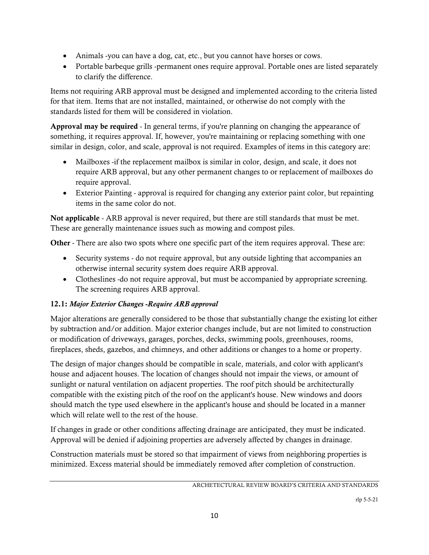- Animals -you can have a dog, cat, etc., but you cannot have horses or cows.
- Portable barbeque grills -permanent ones require approval. Portable ones are listed separately to clarify the difference.

Items not requiring ARB approval must be designed and implemented according to the criteria listed for that item. Items that are not installed, maintained, or otherwise do not comply with the standards listed for them will be considered in violation.

Approval may be required - In general terms, if you're planning on changing the appearance of something, it requires approval. If, however, you're maintaining or replacing something with one similar in design, color, and scale, approval is not required. Examples of items in this category are:

- Mailboxes -if the replacement mailbox is similar in color, design, and scale, it does not require ARB approval, but any other permanent changes to or replacement of mailboxes do require approval.
- Exterior Painting approval is required for changing any exterior paint color, but repainting items in the same color do not.

Not applicable - ARB approval is never required, but there are still standards that must be met. These are generally maintenance issues such as mowing and compost piles.

Other - There are also two spots where one specific part of the item requires approval. These are:

- Security systems do not require approval, but any outside lighting that accompanies an otherwise internal security system does require ARB approval.
- Clotheslines -do not require approval, but must be accompanied by appropriate screening. The screening requires ARB approval.

# 12.1: *Major Exterior Changes -Require ARB approval*

Major alterations are generally considered to be those that substantially change the existing lot either by subtraction and/or addition. Major exterior changes include, but are not limited to construction or modification of driveways, garages, porches, decks, swimming pools, greenhouses, rooms, fireplaces, sheds, gazebos, and chimneys, and other additions or changes to a home or property.

The design of major changes should be compatible in scale, materials, and color with applicant's house and adjacent houses. The location of changes should not impair the views, or amount of sunlight or natural ventilation on adjacent properties. The roof pitch should be architecturally compatible with the existing pitch of the roof on the applicant's house. New windows and doors should match the type used elsewhere in the applicant's house and should be located in a manner which will relate well to the rest of the house.

If changes in grade or other conditions affecting drainage are anticipated, they must be indicated. Approval will be denied if adjoining properties are adversely affected by changes in drainage.

Construction materials must be stored so that impairment of views from neighboring properties is minimized. Excess material should be immediately removed after completion of construction.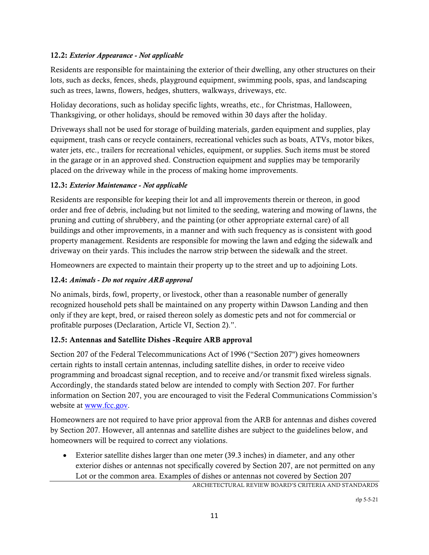## 12.2: *Exterior Appearance - Not applicable*

Residents are responsible for maintaining the exterior of their dwelling, any other structures on their lots, such as decks, fences, sheds, playground equipment, swimming pools, spas, and landscaping such as trees, lawns, flowers, hedges, shutters, walkways, driveways, etc.

Holiday decorations, such as holiday specific lights, wreaths, etc., for Christmas, Halloween, Thanksgiving, or other holidays, should be removed within 30 days after the holiday.

Driveways shall not be used for storage of building materials, garden equipment and supplies, play equipment, trash cans or recycle containers, recreational vehicles such as boats, ATVs, motor bikes, water jets, etc., trailers for recreational vehicles, equipment, or supplies. Such items must be stored in the garage or in an approved shed. Construction equipment and supplies may be temporarily placed on the driveway while in the process of making home improvements.

## 12.3: *Exterior Maintenance - Not applicable*

Residents are responsible for keeping their lot and all improvements therein or thereon, in good order and free of debris, including but not limited to the seeding, watering and mowing of lawns, the pruning and cutting of shrubbery, and the painting (or other appropriate external care) of all buildings and other improvements, in a manner and with such frequency as is consistent with good property management. Residents are responsible for mowing the lawn and edging the sidewalk and driveway on their yards. This includes the narrow strip between the sidewalk and the street.

Homeowners are expected to maintain their property up to the street and up to adjoining Lots.

## 12.4: *Animals - Do not require ARB approval*

No animals, birds, fowl, property, or livestock, other than a reasonable number of generally recognized household pets shall be maintained on any property within Dawson Landing and then only if they are kept, bred, or raised thereon solely as domestic pets and not for commercial or profitable purposes (Declaration, Article VI, Section 2).".

# 12.5: Antennas and Satellite Dishes -Require ARB approval

Section 207 of the Federal Telecommunications Act of 1996 ("Section 207") gives homeowners certain rights to install certain antennas, including satellite dishes, in order to receive video programming and broadcast signal reception, and to receive and/or transmit fixed wireless signals. Accordingly, the standards stated below are intended to comply with Section 207. For further information on Section 207, you are encouraged to visit the Federal Communications Commission's website at www.fcc.gov.

Homeowners are not required to have prior approval from the ARB for antennas and dishes covered by Section 207. However, all antennas and satellite dishes are subject to the guidelines below, and homeowners will be required to correct any violations.

 Exterior satellite dishes larger than one meter (39.3 inches) in diameter, and any other exterior dishes or antennas not specifically covered by Section 207, are not permitted on any Lot or the common area. Examples of dishes or antennas not covered by Section 207

```
ARCHETECTURAL REVIEW BOARD'S CRITERIA AND STANDARDS
```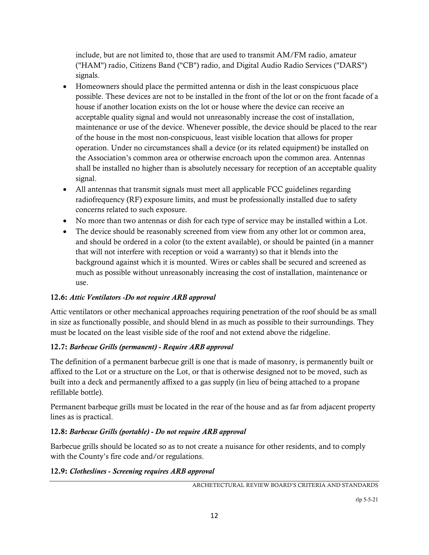include, but are not limited to, those that are used to transmit AM/FM radio, amateur ("HAM") radio, Citizens Band ("CB") radio, and Digital Audio Radio Services ("DARS") signals.

- Homeowners should place the permitted antenna or dish in the least conspicuous place possible. These devices are not to be installed in the front of the lot or on the front facade of a house if another location exists on the lot or house where the device can receive an acceptable quality signal and would not unreasonably increase the cost of installation, maintenance or use of the device. Whenever possible, the device should be placed to the rear of the house in the most non-conspicuous, least visible location that allows for proper operation. Under no circumstances shall a device (or its related equipment) be installed on the Association's common area or otherwise encroach upon the common area. Antennas shall be installed no higher than is absolutely necessary for reception of an acceptable quality signal.
- All antennas that transmit signals must meet all applicable FCC guidelines regarding radiofrequency (RF) exposure limits, and must be professionally installed due to safety concerns related to such exposure.
- No more than two antennas or dish for each type of service may be installed within a Lot.
- The device should be reasonably screened from view from any other lot or common area, and should be ordered in a color (to the extent available), or should be painted (in a manner that will not interfere with reception or void a warranty) so that it blends into the background against which it is mounted. Wires or cables shall be secured and screened as much as possible without unreasonably increasing the cost of installation, maintenance or use.

# 12.6: *Attic Ventilators -Do not require ARB approval*

Attic ventilators or other mechanical approaches requiring penetration of the roof should be as small in size as functionally possible, and should blend in as much as possible to their surroundings. They must be located on the least visible side of the roof and not extend above the ridgeline.

# 12.7: *Barbecue Grills (permanent) - Require ARB approval*

The definition of a permanent barbecue grill is one that is made of masonry, is permanently built or affixed to the Lot or a structure on the Lot, or that is otherwise designed not to be moved, such as built into a deck and permanently affixed to a gas supply (in lieu of being attached to a propane refillable bottle).

Permanent barbeque grills must be located in the rear of the house and as far from adjacent property lines as is practical.

# 12.8: *Barbecue Grills (portable) - Do not require ARB approval*

Barbecue grills should be located so as to not create a nuisance for other residents, and to comply with the County's fire code and/or regulations.

## 12.9: *Clotheslines - Screening requires ARB approval*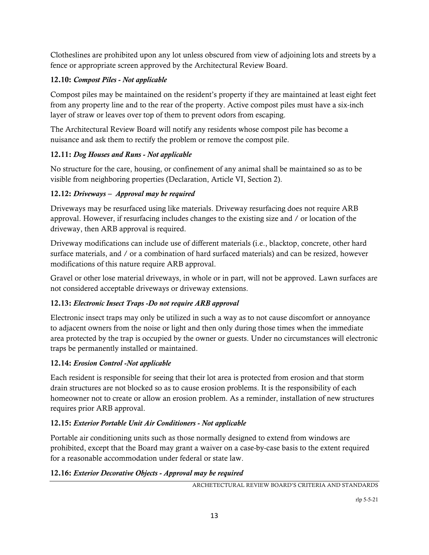Clotheslines are prohibited upon any lot unless obscured from view of adjoining lots and streets by a fence or appropriate screen approved by the Architectural Review Board.

# 12.10: *Compost Piles - Not applicable*

Compost piles may be maintained on the resident's property if they are maintained at least eight feet from any property line and to the rear of the property. Active compost piles must have a six-inch layer of straw or leaves over top of them to prevent odors from escaping.

The Architectural Review Board will notify any residents whose compost pile has become a nuisance and ask them to rectify the problem or remove the compost pile.

# 12.11: *Dog Houses and Runs - Not applicable*

No structure for the care, housing, or confinement of any animal shall be maintained so as to be visible from neighboring properties (Declaration, Article VI, Section 2).

# 12.12: *Driveways – Approval may be required*

Driveways may be resurfaced using like materials. Driveway resurfacing does not require ARB approval. However, if resurfacing includes changes to the existing size and / or location of the driveway, then ARB approval is required.

Driveway modifications can include use of different materials (i.e., blacktop, concrete, other hard surface materials, and / or a combination of hard surfaced materials) and can be resized, however modifications of this nature require ARB approval.

Gravel or other lose material driveways, in whole or in part, will not be approved. Lawn surfaces are not considered acceptable driveways or driveway extensions.

# 12.13: *Electronic Insect Traps -Do not require ARB approval*

Electronic insect traps may only be utilized in such a way as to not cause discomfort or annoyance to adjacent owners from the noise or light and then only during those times when the immediate area protected by the trap is occupied by the owner or guests. Under no circumstances will electronic traps be permanently installed or maintained.

# 12.14: *Erosion Control -Not applicable*

Each resident is responsible for seeing that their lot area is protected from erosion and that storm drain structures are not blocked so as to cause erosion problems. It is the responsibility of each homeowner not to create or allow an erosion problem. As a reminder, installation of new structures requires prior ARB approval.

# 12.15: *Exterior Portable Unit Air Conditioners - Not applicable*

Portable air conditioning units such as those normally designed to extend from windows are prohibited, except that the Board may grant a waiver on a case-by-case basis to the extent required for a reasonable accommodation under federal or state law.

# 12.16: *Exterior Decorative Objects - Approval may be required*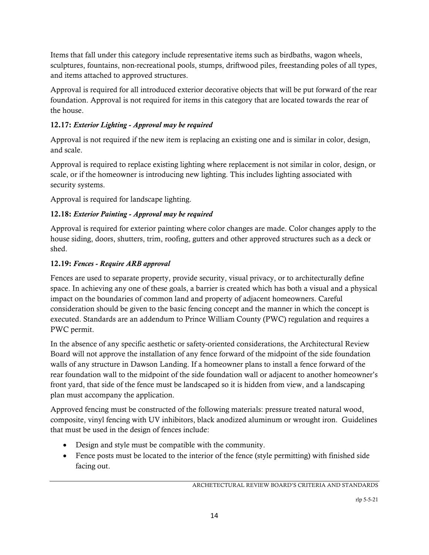Items that fall under this category include representative items such as birdbaths, wagon wheels, sculptures, fountains, non-recreational pools, stumps, driftwood piles, freestanding poles of all types, and items attached to approved structures.

Approval is required for all introduced exterior decorative objects that will be put forward of the rear foundation. Approval is not required for items in this category that are located towards the rear of the house.

# 12.17: *Exterior Lighting - Approval may be required*

Approval is not required if the new item is replacing an existing one and is similar in color, design, and scale.

Approval is required to replace existing lighting where replacement is not similar in color, design, or scale, or if the homeowner is introducing new lighting. This includes lighting associated with security systems.

Approval is required for landscape lighting.

# 12.18: *Exterior Painting - Approval may be required*

Approval is required for exterior painting where color changes are made. Color changes apply to the house siding, doors, shutters, trim, roofing, gutters and other approved structures such as a deck or shed.

# 12.19: *Fences - Require ARB approval*

Fences are used to separate property, provide security, visual privacy, or to architecturally define space. In achieving any one of these goals, a barrier is created which has both a visual and a physical impact on the boundaries of common land and property of adjacent homeowners. Careful consideration should be given to the basic fencing concept and the manner in which the concept is executed. Standards are an addendum to Prince William County (PWC) regulation and requires a PWC permit.

In the absence of any specific aesthetic or safety-oriented considerations, the Architectural Review Board will not approve the installation of any fence forward of the midpoint of the side foundation walls of any structure in Dawson Landing. If a homeowner plans to install a fence forward of the rear foundation wall to the midpoint of the side foundation wall or adjacent to another homeowner's front yard, that side of the fence must be landscaped so it is hidden from view, and a landscaping plan must accompany the application.

Approved fencing must be constructed of the following materials: pressure treated natural wood, composite, vinyl fencing with UV inhibitors, black anodized aluminum or wrought iron. Guidelines that must be used in the design of fences include:

- Design and style must be compatible with the community.
- Fence posts must be located to the interior of the fence (style permitting) with finished side facing out.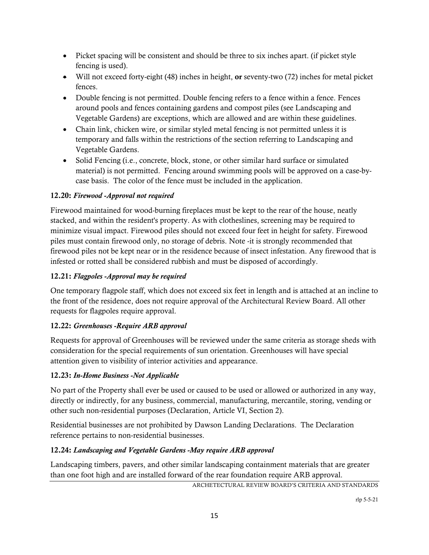- Picket spacing will be consistent and should be three to six inches apart. (if picket style fencing is used).
- Will not exceed forty-eight (48) inches in height, or seventy-two (72) inches for metal picket fences.
- Double fencing is not permitted. Double fencing refers to a fence within a fence. Fences around pools and fences containing gardens and compost piles (see Landscaping and Vegetable Gardens) are exceptions, which are allowed and are within these guidelines.
- Chain link, chicken wire, or similar styled metal fencing is not permitted unless it is temporary and falls within the restrictions of the section referring to Landscaping and Vegetable Gardens.
- Solid Fencing (i.e., concrete, block, stone, or other similar hard surface or simulated material) is not permitted. Fencing around swimming pools will be approved on a case-bycase basis. The color of the fence must be included in the application.

# 12.20: *Firewood -Approval not required*

Firewood maintained for wood-burning fireplaces must be kept to the rear of the house, neatly stacked, and within the resident's property. As with clotheslines, screening may be required to minimize visual impact. Firewood piles should not exceed four feet in height for safety. Firewood piles must contain firewood only, no storage of debris. Note -it is strongly recommended that firewood piles not be kept near or in the residence because of insect infestation. Any firewood that is infested or rotted shall be considered rubbish and must be disposed of accordingly.

# 12.21: *Flagpoles -Approval may be required*

One temporary flagpole staff, which does not exceed six feet in length and is attached at an incline to the front of the residence, does not require approval of the Architectural Review Board. All other requests for flagpoles require approval.

# 12.22: *Greenhouses -Require ARB approval*

Requests for approval of Greenhouses will be reviewed under the same criteria as storage sheds with consideration for the special requirements of sun orientation. Greenhouses will have special attention given to visibility of interior activities and appearance.

# 12.23: *In-Home Business -Not Applicable*

No part of the Property shall ever be used or caused to be used or allowed or authorized in any way, directly or indirectly, for any business, commercial, manufacturing, mercantile, storing, vending or other such non-residential purposes (Declaration, Article VI, Section 2).

Residential businesses are not prohibited by Dawson Landing Declarations. The Declaration reference pertains to non-residential businesses.

# 12.24: *Landscaping and Vegetable Gardens -May require ARB approval*

Landscaping timbers, pavers, and other similar landscaping containment materials that are greater than one foot high and are installed forward of the rear foundation require ARB approval.

ARCHETECTURAL REVIEW BOARD'S CRITERIA AND STANDARDS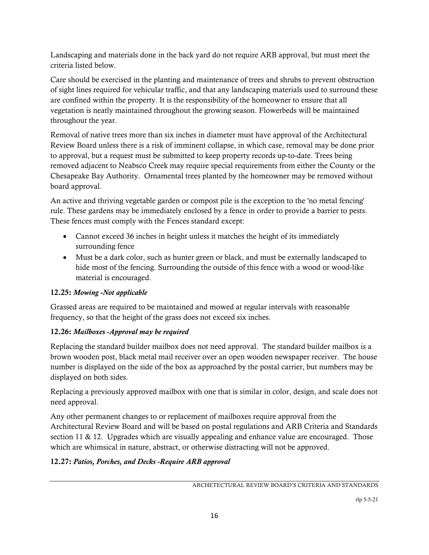Landscaping and materials done in the back yard do not require ARB approval, but must meet the criteria listed below.

Care should be exercised in the planting and maintenance of trees and shrubs to prevent obstruction of sight lines required for vehicular traffic, and that any landscaping materials used to surround these are confined within the property. It is the responsibility of the homeowner to ensure that all vegetation is neatly maintained throughout the growing season. Flowerbeds will be maintained throughout the year.

Removal of native trees more than six inches in diameter must have approval of the Architectural Review Board unless there is a risk of imminent collapse, in which case, removal may be done prior to approval, but a request must be submitted to keep property records up-to-date. Trees being removed adjacent to Neabsco Creek may require special requirements from either the County or the Chesapeake Bay Authority. Ornamental trees planted by the homeowner may be removed without board approval.

An active and thriving vegetable garden or compost pile is the exception to the 'no metal fencing' rule. These gardens may be immediately enclosed by a fence in order to provide a barrier to pests. These fences must comply with the Fences standard except:

- Cannot exceed 36 inches in height unless it matches the height of its immediately surrounding fence
- Must be a dark color, such as hunter green or black, and must be externally landscaped to hide most of the fencing. Surrounding the outside of this fence with a wood or wood-like material is encouraged.

# 12.25: *Mowing -Not applicable*

Grassed areas are required to be maintained and mowed at regular intervals with reasonable frequency, so that the height of the grass does not exceed six inches.

# 12.26: *Mailboxes -Approval may be required*

Replacing the standard builder mailbox does not need approval. The standard builder mailbox is a brown wooden post, black metal mail receiver over an open wooden newspaper receiver. The house number is displayed on the side of the box as approached by the postal carrier, but numbers may be displayed on both sides.

Replacing a previously approved mailbox with one that is similar in color, design, and scale does not need approval.

Any other permanent changes to or replacement of mailboxes require approval from the Architectural Review Board and will be based on postal regulations and ARB Criteria and Standards section 11  $\&$  12. Upgrades which are visually appealing and enhance value are encouraged. Those which are whimsical in nature, abstract, or otherwise distracting will not be approved.

# 12.27: *Patios, Porches, and Decks -Require ARB approval*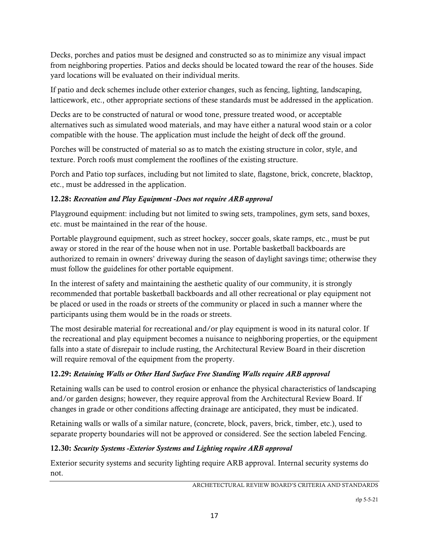Decks, porches and patios must be designed and constructed so as to minimize any visual impact from neighboring properties. Patios and decks should be located toward the rear of the houses. Side yard locations will be evaluated on their individual merits.

If patio and deck schemes include other exterior changes, such as fencing, lighting, landscaping, latticework, etc., other appropriate sections of these standards must be addressed in the application.

Decks are to be constructed of natural or wood tone, pressure treated wood, or acceptable alternatives such as simulated wood materials, and may have either a natural wood stain or a color compatible with the house. The application must include the height of deck off the ground.

Porches will be constructed of material so as to match the existing structure in color, style, and texture. Porch roofs must complement the rooflines of the existing structure.

Porch and Patio top surfaces, including but not limited to slate, flagstone, brick, concrete, blacktop, etc., must be addressed in the application.

# 12.28: *Recreation and Play Equipment -Does not require ARB approval*

Playground equipment: including but not limited to swing sets, trampolines, gym sets, sand boxes, etc. must be maintained in the rear of the house.

Portable playground equipment, such as street hockey, soccer goals, skate ramps, etc., must be put away or stored in the rear of the house when not in use. Portable basketball backboards are authorized to remain in owners' driveway during the season of daylight savings time; otherwise they must follow the guidelines for other portable equipment.

In the interest of safety and maintaining the aesthetic quality of our community, it is strongly recommended that portable basketball backboards and all other recreational or play equipment not be placed or used in the roads or streets of the community or placed in such a manner where the participants using them would be in the roads or streets.

The most desirable material for recreational and/or play equipment is wood in its natural color. If the recreational and play equipment becomes a nuisance to neighboring properties, or the equipment falls into a state of disrepair to include rusting, the Architectural Review Board in their discretion will require removal of the equipment from the property.

# 12.29: *Retaining Walls or Other Hard Surface Free Standing Walls require ARB approval*

Retaining walls can be used to control erosion or enhance the physical characteristics of landscaping and/or garden designs; however, they require approval from the Architectural Review Board. If changes in grade or other conditions affecting drainage are anticipated, they must be indicated.

Retaining walls or walls of a similar nature, (concrete, block, pavers, brick, timber, etc.), used to separate property boundaries will not be approved or considered. See the section labeled Fencing.

# 12.30: *Security Systems -Exterior Systems and Lighting require ARB approval*

Exterior security systems and security lighting require ARB approval. Internal security systems do not.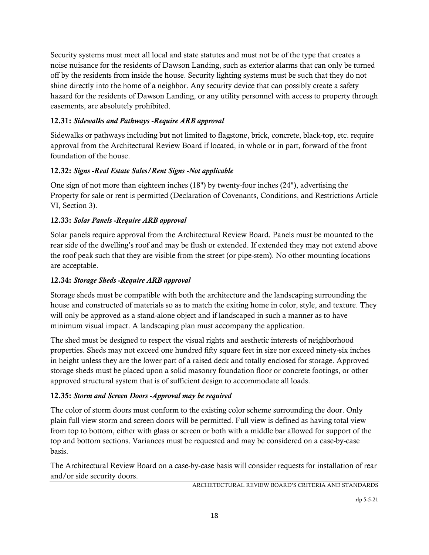Security systems must meet all local and state statutes and must not be of the type that creates a noise nuisance for the residents of Dawson Landing, such as exterior alarms that can only be turned off by the residents from inside the house. Security lighting systems must be such that they do not shine directly into the home of a neighbor. Any security device that can possibly create a safety hazard for the residents of Dawson Landing, or any utility personnel with access to property through easements, are absolutely prohibited.

# 12.31: *Sidewalks and Pathways -Require ARB approval*

Sidewalks or pathways including but not limited to flagstone, brick, concrete, black-top, etc. require approval from the Architectural Review Board if located, in whole or in part, forward of the front foundation of the house.

# 12.32: *Signs -Real Estate Sales/Rent Signs -Not applicable*

One sign of not more than eighteen inches (18") by twenty-four inches (24"), advertising the Property for sale or rent is permitted (Declaration of Covenants, Conditions, and Restrictions Article VI, Section 3).

# 12.33: *Solar Panels -Require ARB approval*

Solar panels require approval from the Architectural Review Board. Panels must be mounted to the rear side of the dwelling's roof and may be flush or extended. If extended they may not extend above the roof peak such that they are visible from the street (or pipe-stem). No other mounting locations are acceptable.

# 12.34: *Storage Sheds -Require ARB approval*

Storage sheds must be compatible with both the architecture and the landscaping surrounding the house and constructed of materials so as to match the exiting home in color, style, and texture. They will only be approved as a stand-alone object and if landscaped in such a manner as to have minimum visual impact. A landscaping plan must accompany the application.

The shed must be designed to respect the visual rights and aesthetic interests of neighborhood properties. Sheds may not exceed one hundred fifty square feet in size nor exceed ninety-six inches in height unless they are the lower part of a raised deck and totally enclosed for storage. Approved storage sheds must be placed upon a solid masonry foundation floor or concrete footings, or other approved structural system that is of sufficient design to accommodate all loads.

# 12.35: *Storm and Screen Doors -Approval may be required*

The color of storm doors must conform to the existing color scheme surrounding the door. Only plain full view storm and screen doors will be permitted. Full view is defined as having total view from top to bottom, either with glass or screen or both with a middle bar allowed for support of the top and bottom sections. Variances must be requested and may be considered on a case-by-case basis.

The Architectural Review Board on a case-by-case basis will consider requests for installation of rear and/or side security doors.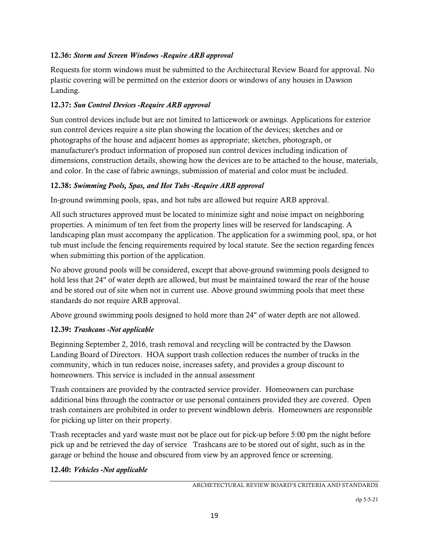# 12.36: *Storm and Screen Windows -Require ARB approval*

Requests for storm windows must be submitted to the Architectural Review Board for approval. No plastic covering will be permitted on the exterior doors or windows of any houses in Dawson Landing.

## 12.37: *Sun Control Devices -Require ARB approval*

Sun control devices include but are not limited to latticework or awnings. Applications for exterior sun control devices require a site plan showing the location of the devices; sketches and or photographs of the house and adjacent homes as appropriate; sketches, photograph, or manufacturer's product information of proposed sun control devices including indication of dimensions, construction details, showing how the devices are to be attached to the house, materials, and color. In the case of fabric awnings, submission of material and color must be included.

## 12.38: *Swimming Pools, Spas, and Hot Tubs -Require ARB approval*

In-ground swimming pools, spas, and hot tubs are allowed but require ARB approval.

All such structures approved must be located to minimize sight and noise impact on neighboring properties. A minimum of ten feet from the property lines will be reserved for landscaping. A landscaping plan must accompany the application. The application for a swimming pool, spa, or hot tub must include the fencing requirements required by local statute. See the section regarding fences when submitting this portion of the application.

No above ground pools will be considered, except that above-ground swimming pools designed to hold less that 24" of water depth are allowed, but must be maintained toward the rear of the house and be stored out of site when not in current use. Above ground swimming pools that meet these standards do not require ARB approval.

Above ground swimming pools designed to hold more than 24" of water depth are not allowed.

# 12.39: *Trashcans -Not applicable*

Beginning September 2, 2016, trash removal and recycling will be contracted by the Dawson Landing Board of Directors. HOA support trash collection reduces the number of trucks in the community, which in tun reduces noise, increases safety, and provides a group discount to homeowners. This service is included in the annual assessment

Trash containers are provided by the contracted service provider. Homeowners can purchase additional bins through the contractor or use personal containers provided they are covered. Open trash containers are prohibited in order to prevent windblown debris. Homeowners are responsible for picking up litter on their property.

Trash receptacles and yard waste must not be place out for pick-up before 5:00 pm the night before pick up and be retrieved the day of service Trashcans are to be stored out of sight, such as in the garage or behind the house and obscured from view by an approved fence or screening.

## 12.40: *Vehicles -Not applicable*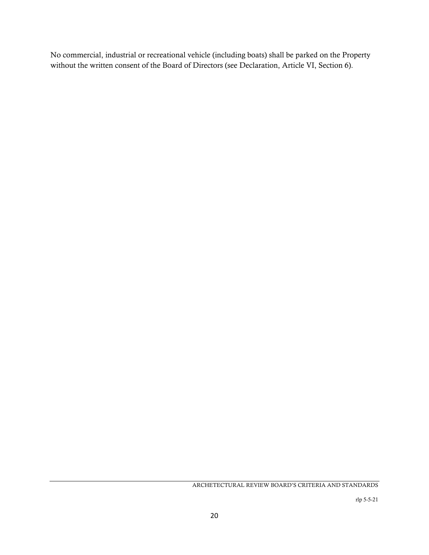No commercial, industrial or recreational vehicle (including boats) shall be parked on the Property without the written consent of the Board of Directors (see Declaration, Article VI, Section 6).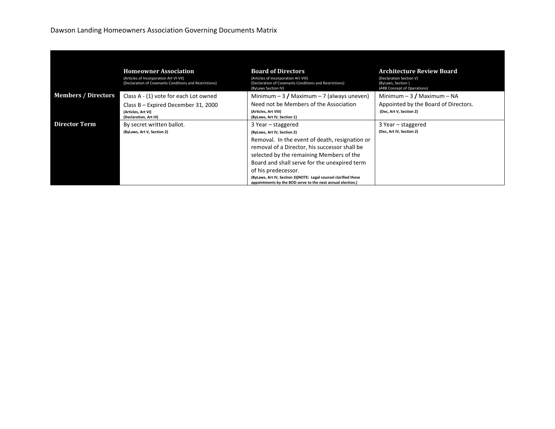## Dawson Landing Homeowners Association Governing Documents Matrix

|                            | <b>Homeowner Association</b><br>(Articles of Incorporation Art VI-VII)<br>(Declaration of Covenants Conditions and Restrictions) | <b>Board of Directors</b><br>(Articles of Incorporation Art VIII)<br>(Declaration of Covenants Conditions and Restrictions)<br>(ByLaws Section IV)                                                                                                                                                                                                                                                        | <b>Architecture Review Board</b><br>(Declaration Section V)<br>(ByLaws, Section)<br>(ARB Concept of Operations) |
|----------------------------|----------------------------------------------------------------------------------------------------------------------------------|-----------------------------------------------------------------------------------------------------------------------------------------------------------------------------------------------------------------------------------------------------------------------------------------------------------------------------------------------------------------------------------------------------------|-----------------------------------------------------------------------------------------------------------------|
| <b>Members / Directors</b> | Class A - (1) vote for each Lot owned                                                                                            | Minimum $-3$ / Maximum $-7$ (always uneven)                                                                                                                                                                                                                                                                                                                                                               | Minimum $-3/$ Maximum $-$ NA                                                                                    |
|                            | Class B - Expired December 31, 2000<br>(Articles, Art VI)<br>(Declaration, Art III)                                              | Need not be Members of the Association<br>(Articles, Art VIII)<br>(ByLaws, Art IV, Section 1)                                                                                                                                                                                                                                                                                                             | Appointed by the Board of Directors.<br>(Dec, Art V, Section 2)                                                 |
| <b>Director Term</b>       | By secret written ballot.<br>(ByLaws, Art V, Section 2)                                                                          | 3 Year – staggered<br>(ByLaws, Art IV, Section 2)<br>Removal. In the event of death, resignation or<br>removal of a Director, his successor shall be<br>selected by the remaining Members of the<br>Board and shall serve for the unexpired term<br>of his predecessor.<br>(ByLaws, Art IV, Section 3)(NOTE: Legal counsel clarified those<br>appointments by the BOD serve to the next annual election.) | 3 Year – staggered<br>(Dec, Art IV, Section 2)                                                                  |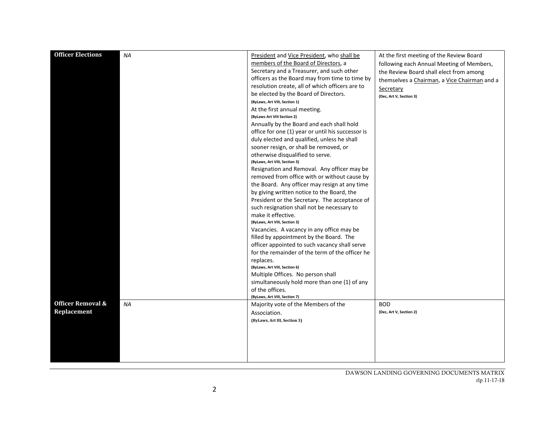| <b>Officer Elections</b>     | <b>NA</b> |                                                   |                                              |
|------------------------------|-----------|---------------------------------------------------|----------------------------------------------|
|                              |           | President and Vice President, who shall be        | At the first meeting of the Review Board     |
|                              |           | members of the Board of Directors, a              | following each Annual Meeting of Members,    |
|                              |           | Secretary and a Treasurer, and such other         | the Review Board shall elect from among      |
|                              |           | officers as the Board may from time to time by    | themselves a Chairman, a Vice Chairman and a |
|                              |           | resolution create, all of which officers are to   | Secretary                                    |
|                              |           | be elected by the Board of Directors.             | (Dec, Art V, Section 3)                      |
|                              |           | (ByLaws, Art VIII, Section 1)                     |                                              |
|                              |           | At the first annual meeting.                      |                                              |
|                              |           | (ByLaws Art VIII Section 2)                       |                                              |
|                              |           | Annually by the Board and each shall hold         |                                              |
|                              |           | office for one (1) year or until his successor is |                                              |
|                              |           | duly elected and qualified, unless he shall       |                                              |
|                              |           | sooner resign, or shall be removed, or            |                                              |
|                              |           | otherwise disqualified to serve.                  |                                              |
|                              |           | (ByLaws, Art VIII, Section 3)                     |                                              |
|                              |           | Resignation and Removal. Any officer may be       |                                              |
|                              |           | removed from office with or without cause by      |                                              |
|                              |           | the Board. Any officer may resign at any time     |                                              |
|                              |           | by giving written notice to the Board, the        |                                              |
|                              |           | President or the Secretary. The acceptance of     |                                              |
|                              |           | such resignation shall not be necessary to        |                                              |
|                              |           | make it effective.                                |                                              |
|                              |           | (ByLaws, Art VIII, Section 3)                     |                                              |
|                              |           |                                                   |                                              |
|                              |           | Vacancies. A vacancy in any office may be         |                                              |
|                              |           | filled by appointment by the Board. The           |                                              |
|                              |           | officer appointed to such vacancy shall serve     |                                              |
|                              |           | for the remainder of the term of the officer he   |                                              |
|                              |           | replaces.                                         |                                              |
|                              |           | (ByLaws, Art VIII, Section 6)                     |                                              |
|                              |           | Multiple Offices. No person shall                 |                                              |
|                              |           | simultaneously hold more than one (1) of any      |                                              |
|                              |           | of the offices.                                   |                                              |
| <b>Officer Removal &amp;</b> |           | (ByLaws, Art VIII, Section 7)                     |                                              |
|                              | <b>NA</b> | Majority vote of the Members of the               | <b>BOD</b>                                   |
| Replacement                  |           | Association.                                      | (Dec, Art V, Section 2)                      |
|                              |           | (ByLaws, Art III, Section 3)                      |                                              |
|                              |           |                                                   |                                              |
|                              |           |                                                   |                                              |
|                              |           |                                                   |                                              |
|                              |           |                                                   |                                              |
|                              |           |                                                   |                                              |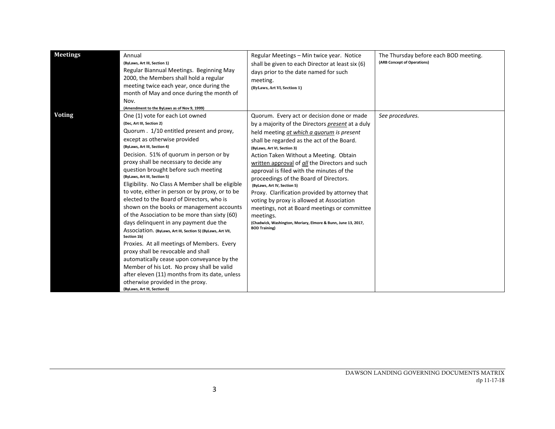| <b>Meetings</b> | Annual<br>(ByLaws, Art III, Section 1)<br>Regular Biannual Meetings. Beginning May<br>2000, the Members shall hold a regular<br>meeting twice each year, once during the<br>month of May and once during the month of<br>Nov.<br>(Amendment to the ByLaws as of Nov 9, 1999)                                                                                                                                                                                                                                                                                                                                                                                                                                                                                                                                                                                                                                                                                                                                           | Regular Meetings - Min twice year. Notice<br>shall be given to each Director at least six (6)<br>days prior to the date named for such<br>meeting.<br>(ByLaws, Art VI, Section 1)                                                                                                                                                                                                                                                                                                                                                                                                                                                                                                               | The Thursday before each BOD meeting.<br>(ARB Concept of Operations) |
|-----------------|------------------------------------------------------------------------------------------------------------------------------------------------------------------------------------------------------------------------------------------------------------------------------------------------------------------------------------------------------------------------------------------------------------------------------------------------------------------------------------------------------------------------------------------------------------------------------------------------------------------------------------------------------------------------------------------------------------------------------------------------------------------------------------------------------------------------------------------------------------------------------------------------------------------------------------------------------------------------------------------------------------------------|-------------------------------------------------------------------------------------------------------------------------------------------------------------------------------------------------------------------------------------------------------------------------------------------------------------------------------------------------------------------------------------------------------------------------------------------------------------------------------------------------------------------------------------------------------------------------------------------------------------------------------------------------------------------------------------------------|----------------------------------------------------------------------|
| <b>Voting</b>   | One (1) vote for each Lot owned<br>(Dec, Art III, Section 2)<br>Quorum . 1/10 entitled present and proxy,<br>except as otherwise provided<br>(ByLaws, Art III, Section 4)<br>Decision. 51% of quorum in person or by<br>proxy shall be necessary to decide any<br>question brought before such meeting<br>(ByLaws, Art III, Section 5)<br>Eligibility. No Class A Member shall be eligible<br>to vote, either in person or by proxy, or to be<br>elected to the Board of Directors, who is<br>shown on the books or management accounts<br>of the Association to be more than sixty (60)<br>days delinquent in any payment due the<br>ASSOCIATION. (ByLaws, Art III, Section 5) (ByLaws, Art VII,<br>Section 1b)<br>Proxies. At all meetings of Members. Every<br>proxy shall be revocable and shall<br>automatically cease upon conveyance by the<br>Member of his Lot. No proxy shall be valid<br>after eleven (11) months from its date, unless<br>otherwise provided in the proxy.<br>(ByLaws, Art III, Section 6) | Quorum. Every act or decision done or made<br>by a majority of the Directors present at a duly<br>held meeting at which a quorum is present<br>shall be regarded as the act of the Board.<br>(ByLaws, Art VI, Section 3)<br>Action Taken Without a Meeting. Obtain<br>written approval of all the Directors and such<br>approval is filed with the minutes of the<br>proceedings of the Board of Directors.<br>(ByLaws, Art IV, Section 5)<br>Proxy. Clarification provided by attorney that<br>voting by proxy is allowed at Association<br>meetings, not at Board meetings or committee<br>meetings.<br>(Chadwick, Washington, Moriary, Elmore & Bunn, June 13, 2017,<br><b>BOD Training)</b> | See procedures.                                                      |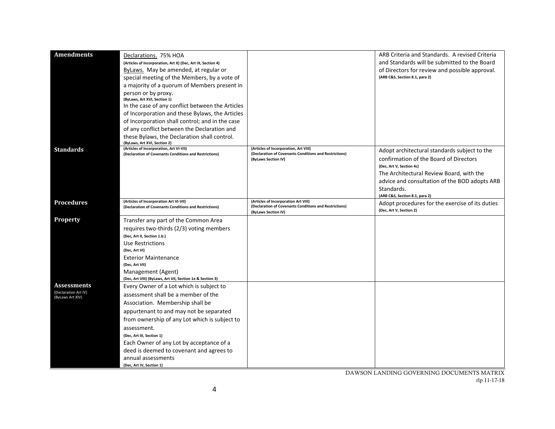| <b>Amendments</b>                          | Declarations. 75% HOA                                                                             |                                                                                                 | ARB Criteria and Standards. A revised Criteria  |
|--------------------------------------------|---------------------------------------------------------------------------------------------------|-------------------------------------------------------------------------------------------------|-------------------------------------------------|
|                                            | (Articles of Incorporation, Art X) (Dec, Art IX, Section 4)                                       |                                                                                                 | and Standards will be submitted to the Board    |
|                                            | ByLaws. May be amended, at regular or                                                             |                                                                                                 | of Directors for review and possible approval.  |
|                                            | special meeting of the Members, by a vote of                                                      |                                                                                                 | (ARB C&S, Section 8.1, para 2)                  |
|                                            | a majority of a quorum of Members present in                                                      |                                                                                                 |                                                 |
|                                            | person or by proxy.                                                                               |                                                                                                 |                                                 |
|                                            | (ByLaws, Art XVI, Section 1)                                                                      |                                                                                                 |                                                 |
|                                            | In the case of any conflict between the Articles                                                  |                                                                                                 |                                                 |
|                                            | of Incorporation and these Bylaws, the Articles                                                   |                                                                                                 |                                                 |
|                                            | of Incorporation shall control; and in the case                                                   |                                                                                                 |                                                 |
|                                            | of any conflict between the Declaration and                                                       |                                                                                                 |                                                 |
|                                            | these Bylaws, the Declaration shall control.                                                      |                                                                                                 |                                                 |
|                                            | (ByLaws, Art XVI, Section 2)                                                                      |                                                                                                 |                                                 |
| <b>Standards</b>                           | (Articles of Incorporation, Art VI-VII)<br>(Declaration of Covenants Conditions and Restrictions) | (Articles of Incorporation, Art VIII)<br>(Declaration of Covenants Conditions and Restrictions) | Adopt architectural standards subject to the    |
|                                            |                                                                                                   | (ByLaws Section IV)                                                                             | confirmation of the Board of Directors          |
|                                            |                                                                                                   |                                                                                                 | (Dec, Art V, Section 4c)                        |
|                                            |                                                                                                   |                                                                                                 | The Architectural Review Board, with the        |
|                                            |                                                                                                   |                                                                                                 | advice and consultation of the BOD adopts ARB   |
|                                            |                                                                                                   |                                                                                                 | Standards.                                      |
|                                            |                                                                                                   |                                                                                                 | (ARB C&S, Section 8.1, para 2)                  |
| <b>Procedures</b>                          | (Articles of Incorporation Art VI-VII)<br>(Declaration of Covenants Conditions and Restrictions)  | (Articles of Incorporation Art VIII)<br>(Declaration of Covenants Conditions and Restrictions)  | Adopt procedures for the exercise of its duties |
|                                            |                                                                                                   | (ByLaws Section IV)                                                                             | (Dec, Art V, Section 2)                         |
| <b>Property</b>                            | Transfer any part of the Common Area                                                              |                                                                                                 |                                                 |
|                                            | requires two-thirds (2/3) voting members                                                          |                                                                                                 |                                                 |
|                                            | (Dec, Art II, Section 1.b.)                                                                       |                                                                                                 |                                                 |
|                                            | Use Restrictions                                                                                  |                                                                                                 |                                                 |
|                                            | (Dec, Art VI)                                                                                     |                                                                                                 |                                                 |
|                                            | <b>Exterior Maintenance</b>                                                                       |                                                                                                 |                                                 |
|                                            | (Dec, Art VII)                                                                                    |                                                                                                 |                                                 |
|                                            | Management (Agent)                                                                                |                                                                                                 |                                                 |
|                                            | (Dec, Art VIII) (ByLaws, Art VII, Section 1e & Section 3)                                         |                                                                                                 |                                                 |
| <b>Assessments</b><br>(Declaration Art IV) | Every Owner of a Lot which is subject to                                                          |                                                                                                 |                                                 |
| (ByLaws Art XIV)                           | assessment shall be a member of the                                                               |                                                                                                 |                                                 |
|                                            | Association. Membership shall be                                                                  |                                                                                                 |                                                 |
|                                            | appurtenant to and may not be separated                                                           |                                                                                                 |                                                 |
|                                            | from ownership of any Lot which is subject to                                                     |                                                                                                 |                                                 |
|                                            | assessment.                                                                                       |                                                                                                 |                                                 |
|                                            | (Dec, Art III, Section 1)                                                                         |                                                                                                 |                                                 |
|                                            | Each Owner of any Lot by acceptance of a                                                          |                                                                                                 |                                                 |
|                                            | deed is deemed to covenant and agrees to                                                          |                                                                                                 |                                                 |
|                                            | annual assessments                                                                                |                                                                                                 |                                                 |
|                                            | (Dec, Art IV, Section 1)                                                                          |                                                                                                 |                                                 |